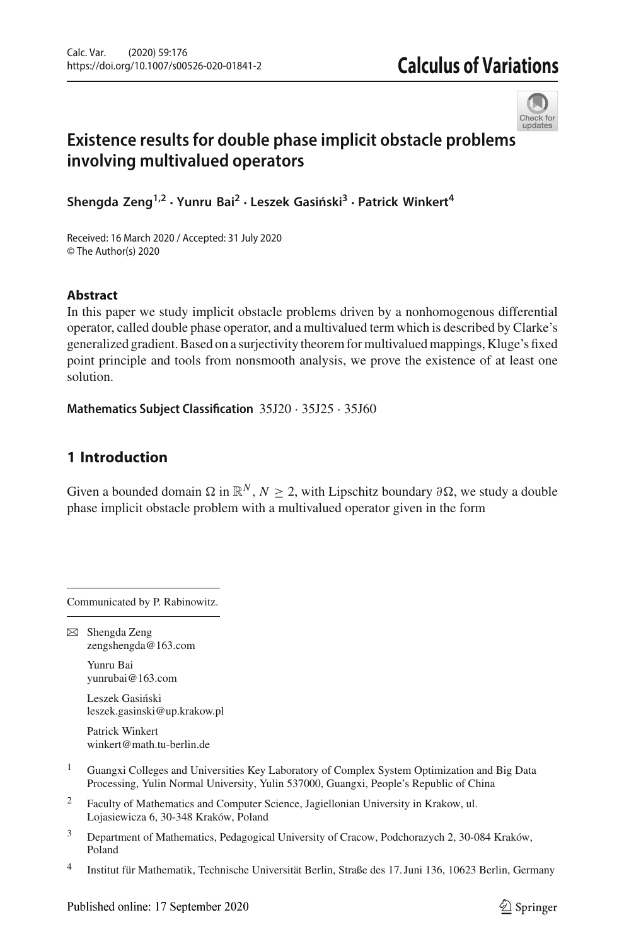

# **Existence results for double phase implicit obstacle problem[s](http://crossmark.crossref.org/dialog/?doi=10.1007/s00526-020-01841-2&domain=pdf) involving multivalued operators**

**Shengda Zeng1,2 · Yunru Bai<sup>2</sup> · Leszek Gasi ´nski<sup>3</sup> · Patrick Winkert<sup>4</sup>**

Received: 16 March 2020 / Accepted: 31 July 2020 © The Author(s) 2020

### **Abstract**

In this paper we study implicit obstacle problems driven by a nonhomogenous differential operator, called double phase operator, and a multivalued term which is described by Clarke's generalized gradient. Based on a surjectivity theorem for multivalued mappings, Kluge's fixed point principle and tools from nonsmooth analysis, we prove the existence of at least one solution.

**Mathematics Subject Classification** 35J20 · 35J25 · 35J60

## **1 Introduction**

Given a bounded domain  $\Omega$  in  $\mathbb{R}^N$ ,  $N \geq 2$ , with Lipschitz boundary  $\partial \Omega$ , we study a double phase implicit obstacle problem with a multivalued operator given in the form

Communicated by P. Rabinowitz.

B Shengda Zeng zengshengda@163.com

> Yunru Bai yunrubai@163.com

Leszek Gasiński leszek.gasinski@up.krakow.pl

Patrick Winkert winkert@math.tu-berlin.de

- <sup>1</sup> Guangxi Colleges and Universities Key Laboratory of Complex System Optimization and Big Data Processing, Yulin Normal University, Yulin 537000, Guangxi, People's Republic of China
- <sup>2</sup> Faculty of Mathematics and Computer Science, Jagiellonian University in Krakow, ul. Lojasiewicza 6, 30-348 Kraków, Poland
- <sup>3</sup> Department of Mathematics, Pedagogical University of Cracow, Podchorazych 2, 30-084 Kraków, Poland
- <sup>4</sup> Institut für Mathematik, Technische Universität Berlin, Straße des 17. Juni 136, 10623 Berlin, Germany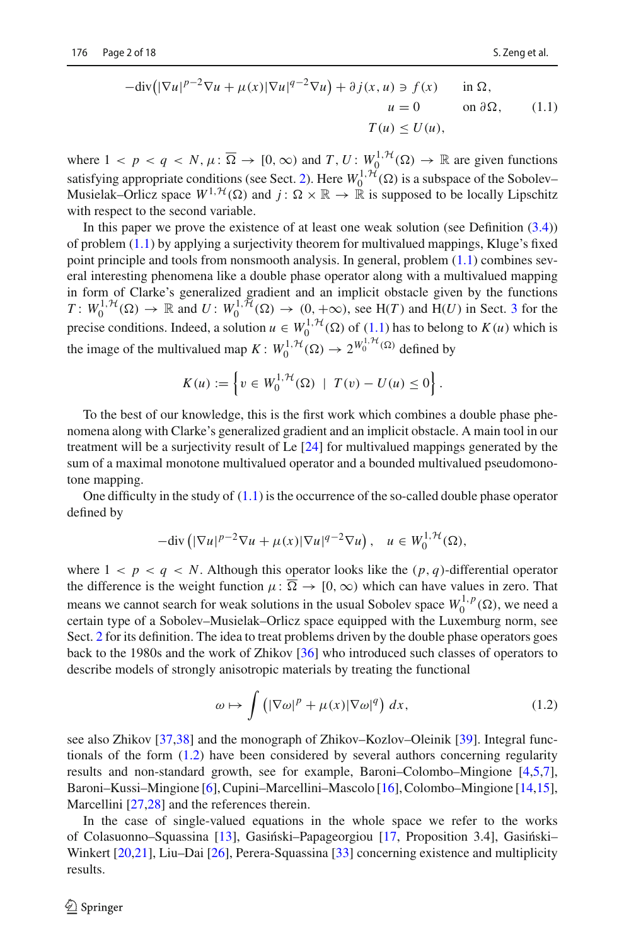<span id="page-1-0"></span>
$$
-\text{div}(|\nabla u|^{p-2}\nabla u + \mu(x)|\nabla u|^{q-2}\nabla u) + \partial j(x, u) \ni f(x) \quad \text{in } \Omega, \nu = 0 \quad \text{on } \partial \Omega, \qquad (1.1)
$$
\n
$$
T(u) \le U(u),
$$

where  $1 < p < q < N, \mu \colon \overline{\Omega} \to [0, \infty)$  and  $T, U \colon W_0^{1, \mathcal{H}}(\Omega) \to \mathbb{R}$  are given functions satisfying appropriate conditions (see Sect. [2\)](#page-2-0). Here  $W_0^{1, H}(\Omega)$  is a subspace of the Sobolev– Musielak–Orlicz space  $W^{1, H}(\Omega)$  and  $j: \Omega \times \mathbb{R} \to \mathbb{R}$  is supposed to be locally Lipschitz with respect to the second variable.

In this paper we prove the existence of at least one weak solution (see Definition  $(3.4)$ ) of problem [\(1.1\)](#page-1-0) by applying a surjectivity theorem for multivalued mappings, Kluge's fixed point principle and tools from nonsmooth analysis. In general, problem [\(1.1\)](#page-1-0) combines several interesting phenomena like a double phase operator along with a multivalued mapping in form of Clarke's generalized gradient and an implicit obstacle given by the functions  $T: W_0^{1, H}(\Omega) \to \mathbb{R}$  and  $U: W_0^{1, H}(\Omega) \to (0, +\infty)$ , see H(*T*) and H(*U*) in Sect. [3](#page-5-0) for the precise conditions. Indeed, a solution  $u \in W_0^{1, H}(\Omega)$  of [\(1.1\)](#page-1-0) has to belong to  $K(u)$  which is the image of the multivalued map  $K: W_0^{1, H}(\Omega) \to 2^{W_0^{1, H}(\Omega)}$  defined by

$$
K(u) := \left\{ v \in W_0^{1, \mathcal{H}}(\Omega) \ | \ T(v) - U(u) \leq 0 \right\}.
$$

To the best of our knowledge, this is the first work which combines a double phase phenomena along with Clarke's generalized gradient and an implicit obstacle. A main tool in our treatment will be a surjectivity result of Le [\[24\]](#page-17-0) for multivalued mappings generated by the sum of a maximal monotone multivalued operator and a bounded multivalued pseudomonotone mapping.

One difficulty in the study of  $(1.1)$  is the occurrence of the so-called double phase operator defined by

$$
-\mathrm{div}\left(|\nabla u|^{p-2}\nabla u + \mu(x)|\nabla u|^{q-2}\nabla u\right), \quad u \in W_0^{1, \mathcal{H}}(\Omega),
$$

where  $1 < p < q < N$ . Although this operator looks like the  $(p, q)$ -differential operator the difference is the weight function  $\mu: \Omega \to [0, \infty)$  which can have values in zero. That means we cannot search for weak solutions in the usual Sobolev space  $W_0^{1,p}(\Omega)$ , we need a certain type of a Sobolev–Musielak–Orlicz space equipped with the Luxemburg norm, see Sect. [2](#page-2-0) for its definition. The idea to treat problems driven by the double phase operators goes back to the 1980s and the work of Zhikov [\[36](#page-17-1)] who introduced such classes of operators to describe models of strongly anisotropic materials by treating the functional

<span id="page-1-1"></span>
$$
\omega \mapsto \int \left( |\nabla \omega|^p + \mu(x) |\nabla \omega|^q \right) dx, \tag{1.2}
$$

see also Zhikov [\[37](#page-17-2)[,38\]](#page-17-3) and the monograph of Zhikov–Kozlov–Oleinik [\[39](#page-17-4)]. Integral functionals of the form [\(1.2\)](#page-1-1) have been considered by several authors concerning regularity results and non-standard growth, see for example, Baroni–Colombo–Mingione [\[4](#page-16-0)[,5](#page-16-1)[,7\]](#page-16-2), Baroni–Kussi–Mingione [\[6\]](#page-16-3), Cupini–Marcellini–Mascolo [\[16](#page-16-4)], Colombo–Mingione [\[14](#page-16-5)[,15\]](#page-16-6), Marcellini [\[27](#page-17-5)[,28](#page-17-6)] and the references therein.

In the case of single-valued equations in the whole space we refer to the works of Colasuonno–Squassina [\[13\]](#page-16-7), Gasiński–Papageorgiou [\[17,](#page-16-8) Proposition 3.4], Gasiński– Winkert [\[20](#page-16-9)[,21](#page-17-7)], Liu–Dai [\[26](#page-17-8)], Perera-Squassina [\[33](#page-17-9)] concerning existence and multiplicity results.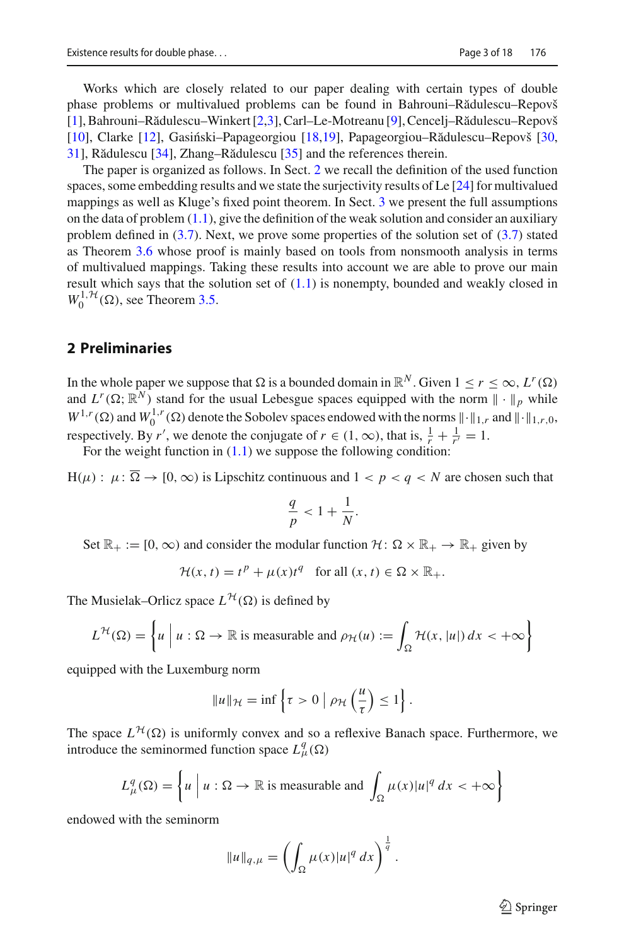Works which are closely related to our paper dealing with certain types of double phase problems or multivalued problems can be found in Bahrouni–Rădulescu–Repovš [\[1](#page-16-10)], Bahrouni–Rădulescu–Winkert [\[2](#page-16-11)[,3\]](#page-16-12), Carl–Le-Motreanu [\[9](#page-16-13)], Cencelj–Rădulescu–Repovš [\[10\]](#page-16-14), Clarke [\[12](#page-16-15)], Gasiński–Papageorgiou [\[18](#page-16-16)[,19\]](#page-16-17), Papageorgiou–Rădulescu–Repovš [\[30,](#page-17-10) [31\]](#page-17-11), Rădulescu [\[34\]](#page-17-12), Zhang–Rădulescu [\[35](#page-17-13)] and the references therein.

The paper is organized as follows. In Sect. [2](#page-2-0) we recall the definition of the used function spaces, some embedding results and we state the surjectivity results of Le [\[24\]](#page-17-0) for multivalued mappings as well as Kluge's fixed point theorem. In Sect. [3](#page-5-0) we present the full assumptions on the data of problem  $(1.1)$ , give the definition of the weak solution and consider an auxiliary problem defined in  $(3.7)$ . Next, we prove some properties of the solution set of  $(3.7)$  stated as Theorem [3.6](#page-8-1) whose proof is mainly based on tools from nonsmooth analysis in terms of multivalued mappings. Taking these results into account we are able to prove our main result which says that the solution set of  $(1.1)$  is nonempty, bounded and weakly closed in  $W_0^{1, H}(\Omega)$ , see Theorem [3.5.](#page-7-1)

#### <span id="page-2-0"></span>**2 Preliminaries**

In the whole paper we suppose that  $\Omega$  is a bounded domain in  $\mathbb{R}^N$ . Given  $1 \le r \le \infty$ ,  $L^r(\Omega)$ and  $L^r(\Omega; \mathbb{R}^N)$  stand for the usual Lebesgue spaces equipped with the norm  $\| \cdot \|_p$  while  $W^{1,r}(\Omega)$  and  $W_0^{1,r}(\Omega)$  denote the Sobolev spaces endowed with the norms  $\|\cdot\|_{1,r}$  and  $\|\cdot\|_{1,r,0}$ , respectively. By *r'*, we denote the conjugate of  $r \in (1, \infty)$ , that is,  $\frac{1}{r} + \frac{1}{r'} = 1$ .

For the weight function in  $(1.1)$  we suppose the following condition:

 $H(\mu): \mu: \Omega \to [0, \infty)$  is Lipschitz continuous and  $1 < p < q < N$  are chosen such that

$$
\frac{q}{p} < 1 + \frac{1}{N}.
$$

Set  $\mathbb{R}_+ := [0, \infty)$  and consider the modular function  $\mathcal{H} \colon \Omega \times \mathbb{R}_+ \to \mathbb{R}_+$  given by

$$
\mathcal{H}(x,t) = t^p + \mu(x)t^q \quad \text{for all } (x,t) \in \Omega \times \mathbb{R}_+.
$$

The Musielak–Orlicz space  $L^H(\Omega)$  is defined by

$$
L^{\mathcal{H}}(\Omega) = \left\{ u \mid u : \Omega \to \mathbb{R} \text{ is measurable and } \rho_{\mathcal{H}}(u) := \int_{\Omega} \mathcal{H}(x, |u|) dx < +\infty \right\}
$$

equipped with the Luxemburg norm

$$
||u||_{\mathcal{H}} = \inf \left\{ \tau > 0 \mid \rho_{\mathcal{H}} \left( \frac{u}{\tau} \right) \le 1 \right\}.
$$

The space  $L^{H}(\Omega)$  is uniformly convex and so a reflexive Banach space. Furthermore, we introduce the seminormed function space  $L^q_\mu(\Omega)$ 

$$
L^q_\mu(\Omega) = \left\{ u \mid u : \Omega \to \mathbb{R} \text{ is measurable and } \int_{\Omega} \mu(x) |u|^q \, dx < +\infty \right\}
$$

endowed with the seminorm

$$
||u||_{q,\mu} = \left(\int_{\Omega} \mu(x)|u|^q dx\right)^{\frac{1}{q}}.
$$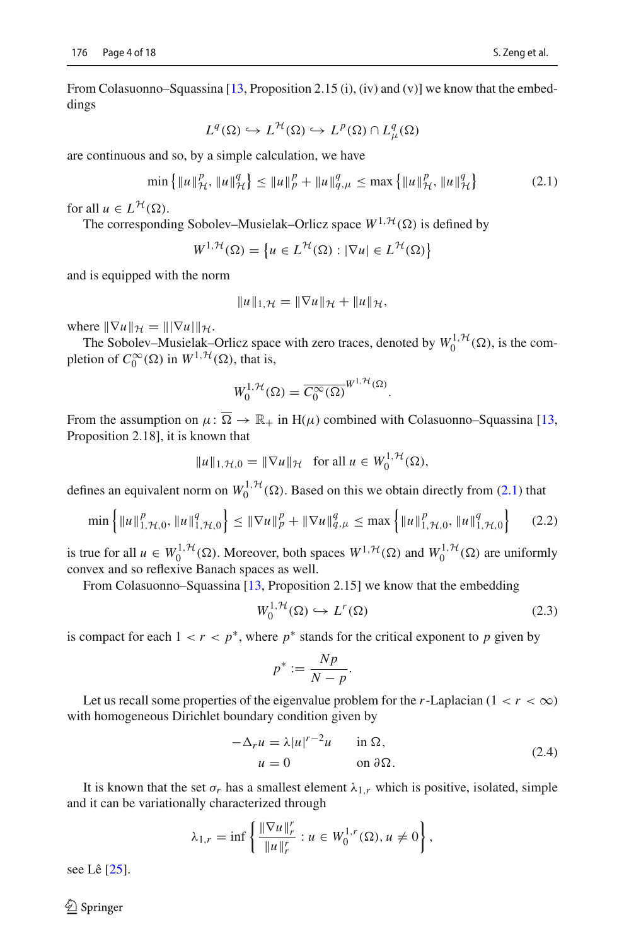From Colasuonno–Squassina [\[13,](#page-16-7) Proposition 2.15 (i), (iv) and (v)] we know that the embeddings

<span id="page-3-0"></span>
$$
L^{q}(\Omega) \hookrightarrow L^{\mathcal{H}}(\Omega) \hookrightarrow L^{p}(\Omega) \cap L^{q}_{\mu}(\Omega)
$$

are continuous and so, by a simple calculation, we have

$$
\min\left\{\|u\|_{\mathcal{H}}^p, \|u\|_{\mathcal{H}}^q\right\} \le \|u\|_p^p + \|u\|_{q,\mu}^q \le \max\left\{\|u\|_{\mathcal{H}}^p, \|u\|_{\mathcal{H}}^q\right\} \tag{2.1}
$$

for all  $u \in L^{\mathcal{H}}(\Omega)$ .

The corresponding Sobolev–Musielak–Orlicz space  $W^{1, \mathcal{H}}(\Omega)$  is defined by

$$
W^{1,\mathcal{H}}(\Omega) = \left\{ u \in L^{\mathcal{H}}(\Omega) : |\nabla u| \in L^{\mathcal{H}}(\Omega) \right\}
$$

and is equipped with the norm

$$
||u||_{1,\mathcal{H}} = ||\nabla u||_{\mathcal{H}} + ||u||_{\mathcal{H}},
$$

where  $\|\nabla u\|_{\mathcal{H}} = \|\nabla u\|_{\mathcal{H}}$ .

The Sobolev–Musielak–Orlicz space with zero traces, denoted by  $W_0^{1, \mathcal{H}}(\Omega)$ , is the completion of  $C_0^{\infty}(\Omega)$  in  $W^{1, \mathcal{H}}(\Omega)$ , that is,

$$
W_0^{1,\mathcal{H}}(\Omega) = \overline{C_0^{\infty}(\Omega)}^{W^{1,\mathcal{H}}(\Omega)}.
$$

From the assumption on  $\mu : \overline{\Omega} \to \mathbb{R}_+$  in  $H(\mu)$  combined with Colasuonno–Squassina [\[13,](#page-16-7) Proposition 2.18], it is known that

$$
||u||_{1,\mathcal{H},0} = ||\nabla u||_{\mathcal{H}} \text{ for all } u \in W_0^{1,\mathcal{H}}(\Omega),
$$

defines an equivalent norm on  $W_0^{1, H}(\Omega)$ . Based on this we obtain directly from [\(2.1\)](#page-3-0) that

$$
\min\left\{\|u\|_{1,\mathcal{H},0}^p,\|u\|_{1,\mathcal{H},0}^q\right\} \le \|\nabla u\|_p^p + \|\nabla u\|_{q,\mu}^q \le \max\left\{\|u\|_{1,\mathcal{H},0}^p,\|u\|_{1,\mathcal{H},0}^q\right\} \tag{2.2}
$$

is true for all  $u \in W_0^{1, H}(\Omega)$ . Moreover, both spaces  $W^{1, H}(\Omega)$  and  $W_0^{1, H}(\Omega)$  are uniformly convex and so reflexive Banach spaces as well.

From Colasuonno–Squassina [\[13](#page-16-7), Proposition 2.15] we know that the embedding

<span id="page-3-3"></span>
$$
W_0^{1, \mathcal{H}}(\Omega) \hookrightarrow L^r(\Omega) \tag{2.3}
$$

is compact for each  $1 < r < p^*$ , where  $p^*$  stands for the critical exponent to p given by

<span id="page-3-2"></span>
$$
p^* := \frac{Np}{N-p}.
$$

Let us recall some properties of the eigenvalue problem for the *r*-Laplacian ( $1 < r < \infty$ ) with homogeneous Dirichlet boundary condition given by

<span id="page-3-1"></span>
$$
-\Delta_r u = \lambda |u|^{r-2}u \quad \text{in } \Omega,
$$
  
 
$$
u = 0 \quad \text{on } \partial\Omega.
$$
 (2.4)

It is known that the set  $\sigma_r$  has a smallest element  $\lambda_{1,r}$  which is positive, isolated, simple and it can be variationally characterized through

$$
\lambda_{1,r} = \inf \left\{ \frac{\|\nabla u\|_r^r}{\|u\|_r^r} : u \in W_0^{1,r}(\Omega), u \neq 0 \right\},\
$$

see Lê [\[25\]](#page-17-14).

 $\mathcal{L}$  Springer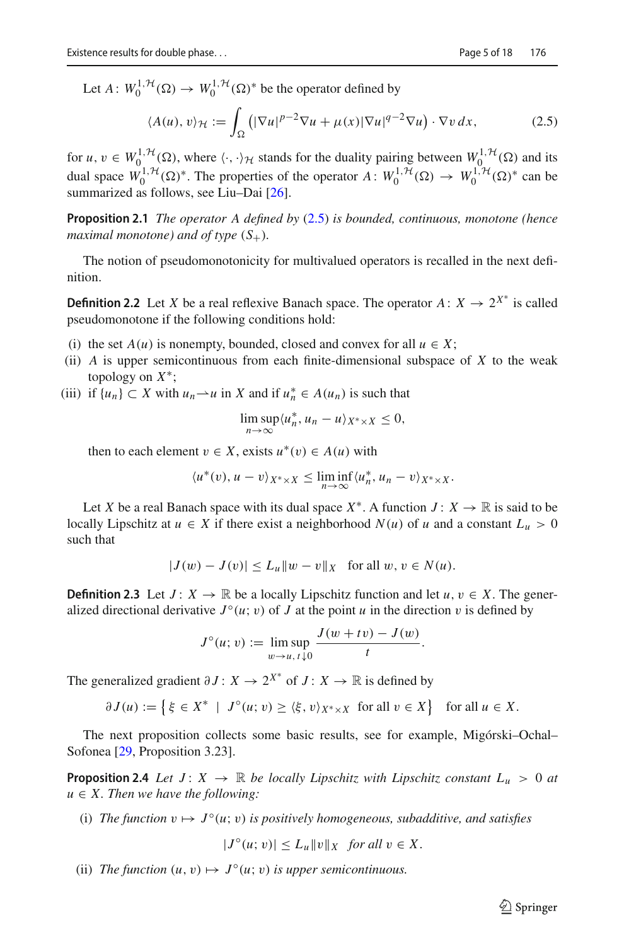Let  $A: W_0^{1, H}(\Omega) \to W_0^{1, H}(\Omega)^*$  be the operator defined by

<span id="page-4-2"></span><span id="page-4-0"></span>
$$
\langle A(u), v \rangle_{\mathcal{H}} := \int_{\Omega} \left( |\nabla u|^{p-2} \nabla u + \mu(x) |\nabla u|^{q-2} \nabla u \right) \cdot \nabla v \, dx,\tag{2.5}
$$

for  $u, v \in W_0^{1,1}(\Omega)$ , where  $\langle \cdot, \cdot \rangle_{\mathcal{H}}$  stands for the duality pairing between  $W_0^{1,1}(\Omega)$  and its dual space  $W_0^{1, H}(\Omega)^*$ . The properties of the operator  $A: W_0^{1, H}(\Omega) \to W_0^{1, H}(\Omega)^*$  can be summarized as follows, see Liu–Dai [\[26\]](#page-17-8).

**Proposition 2.1** *The operator A defined by* [\(2.5\)](#page-4-0) *is bounded, continuous, monotone (hence maximal monotone) and of type*  $(S_+)$ *.* 

The notion of pseudomonotonicity for multivalued operators is recalled in the next definition.

**Definition 2.2** Let *X* be a real reflexive Banach space. The operator  $A: X \to 2^{X^*}$  is called pseudomonotone if the following conditions hold:

- (i) the set  $A(u)$  is nonempty, bounded, closed and convex for all  $u \in X$ ;
- (ii) *A* is upper semicontinuous from each finite-dimensional subspace of *X* to the weak topology on *X*∗;
- (iii) if  $\{u_n\} \subset X$  with  $u_n \to u$  in X and if  $u_n^* \in A(u_n)$  is such that

$$
\limsup_{n\to\infty}\langle u_n^*,u_n-u\rangle_{X^*\times X}\leq 0,
$$

then to each element  $v \in X$ , exists  $u^*(v) \in A(u)$  with

$$
\langle u^*(v), u-v\rangle_{X^*\times X} \leq \liminf_{n\to\infty} \langle u_n^*, u_n-v\rangle_{X^*\times X}.
$$

Let *X* be a real Banach space with its dual space  $X^*$ . A function  $J: X \to \mathbb{R}$  is said to be locally Lipschitz at  $u \in X$  if there exist a neighborhood  $N(u)$  of *u* and a constant  $L_u > 0$ such that

$$
|J(w) - J(v)| \le L_u \|w - v\|_X \text{ for all } w, v \in N(u).
$$

**Definition 2.3** Let  $J: X \to \mathbb{R}$  be a locally Lipschitz function and let  $u, v \in X$ . The generalized directional derivative  $J^\circ(u; v)$  of *J* at the point *u* in the direction *v* is defined by

<span id="page-4-1"></span>
$$
J^{\circ}(u; v) := \limsup_{w \to u, t \downarrow 0} \frac{J(w + tv) - J(w)}{t}.
$$

The generalized gradient  $\partial J: X \to 2^{X^*}$  of  $J: X \to \mathbb{R}$  is defined by

 $\partial J(u) := \left\{ \xi \in X^* \mid J^\circ(u; v) \ge \langle \xi, v \rangle_{X^* \times X} \text{ for all } v \in X \right\} \text{ for all } u \in X.$ 

The next proposition collects some basic results, see for example, Migórski–Ochal– Sofonea [\[29](#page-17-15), Proposition 3.23].

**Proposition 2.4** *Let*  $J: X \rightarrow \mathbb{R}$  *be locally Lipschitz with Lipschitz constant*  $L_u > 0$  *at*  $u \in X$ *. Then we have the following:* 

(i) *The function*  $v \mapsto J^{\circ}(u; v)$  *is positively homogeneous, subadditive, and satisfies* 

$$
|J^{\circ}(u; v)| \le L_u \|v\|_X \quad \text{for all } v \in X.
$$

(ii) *The function*  $(u, v) \mapsto J^{\circ}(u; v)$  *is upper semicontinuous.*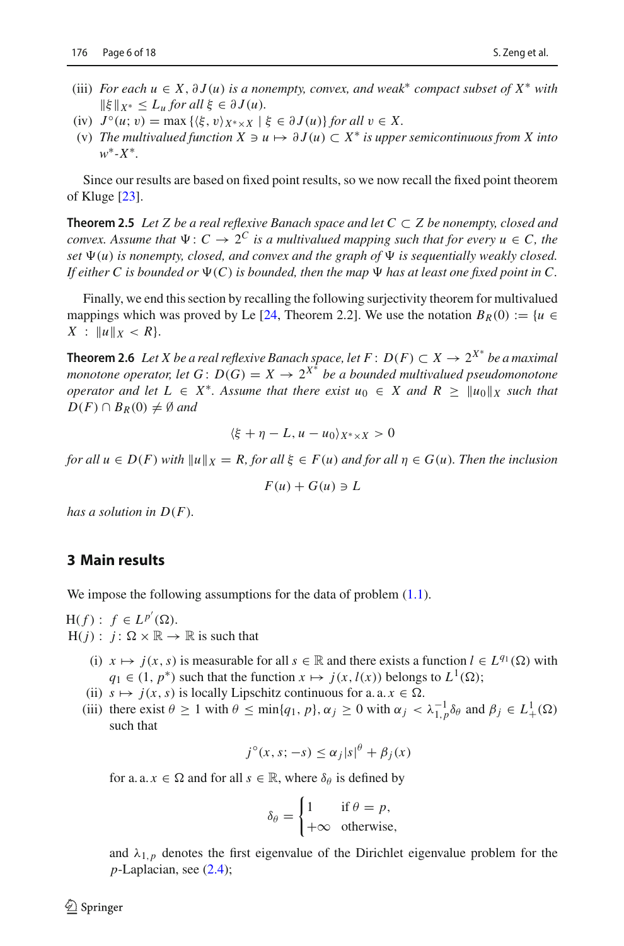- (iii) *For each u* ∈ *X*, ∂ *J* (*u*) *is a nonempty, convex, and weak*<sup>∗</sup> *compact subset of X*<sup>∗</sup> *with*  $\|\xi\|_{X^*} \leq L_u$  *for all*  $\xi \in \partial J(u)$ *.*
- (iv)  $J^{\circ}(u; v) = \max \left\{ \langle \xi, v \rangle_{X^* \times X} \mid \xi \in \partial J(u) \right\}$  *for all*  $v \in X$ .
- (v) *The multivalued function*  $X \ni u \mapsto \partial J(u) \subset X^*$  *is upper semicontinuous from* X *into w*∗*-X*∗*.*

<span id="page-5-1"></span>Since our results are based on fixed point results, so we now recall the fixed point theorem of Kluge [\[23\]](#page-17-16).

**Theorem 2.5** Let Z be a real reflexive Banach space and let  $C \subset Z$  be nonempty, closed and *convex.* Assume that  $\Psi: C \to 2^C$  *is a multivalued mapping such that for every*  $u \in C$ *, the* set  $\Psi(u)$  is nonempty, closed, and convex and the graph of  $\Psi$  is sequentially weakly closed. *If either* C is bounded or  $\Psi(C)$  is bounded, then the map  $\Psi$  has at least one fixed point in C.

<span id="page-5-2"></span>Finally, we end this section by recalling the following surjectivity theorem for multivalued mappings which was proved by Le [\[24](#page-17-0), Theorem 2.2]. We use the notation  $B_R(0) := \{u \in$  $X: \|u\|_X < R$ .

**Theorem 2.6** Let X be a real reflexive Banach space, let  $F: D(F) \subset X \to 2^{X^*}$  be a maximal *monotone operator, let*  $G$ :  $D(G) = X \rightarrow 2^{X^*}$  *be a bounded multivalued pseudomonotone operator and let*  $L \in X^*$ *. Assume that there exist*  $u_0 \in X$  *and*  $R \ge ||u_0||_X$  *such that*  $D(F) \cap B_R(0) \neq \emptyset$  *and* 

$$
\langle \xi + \eta - L, u - u_0 \rangle_{X^* \times X} > 0
$$

*for all*  $u \in D(F)$  *with*  $||u||_X = R$ , *for all*  $\xi \in F(u)$  *and for all*  $\eta \in G(u)$ *. Then the inclusion* 

$$
F(u) + G(u) \ni L
$$

*has a solution in D*(*F*)*.*

#### <span id="page-5-0"></span>**3 Main results**

We impose the following assumptions for the data of problem  $(1.1)$ .

 $H(f) : f \in L^{p'}(\Omega).$  $H(j): j: \Omega \times \mathbb{R} \to \mathbb{R}$  is such that

- (i)  $x \mapsto j(x, s)$  is measurable for all  $s \in \mathbb{R}$  and there exists a function  $l \in L^{q_1}(\Omega)$  with *q*<sub>1</sub> ∈ (1, *p*<sup>∗</sup>) such that the function  $x$   $\mapsto$  *j*( $x$ ,  $l(x)$ ) belongs to  $L^1(\Omega)$ ;
- (ii)  $s \mapsto j(x, s)$  is locally Lipschitz continuous for a. a.  $x \in \Omega$ .
- (iii) there exist  $\theta \ge 1$  with  $\theta \le \min\{q_1, p\}, \alpha_j \ge 0$  with  $\alpha_j < \lambda_{1,p}^{-1} \delta_\theta$  and  $\beta_j \in L^1_+(\Omega)$ such that

$$
j^{\circ}(x, s; -s) \leq \alpha_j |s|^{\theta} + \beta_j(x)
$$

for a. a.  $x \in \Omega$  and for all  $s \in \mathbb{R}$ , where  $\delta_{\theta}$  is defined by

$$
\delta_{\theta} = \begin{cases} 1 & \text{if } \theta = p, \\ +\infty & \text{otherwise,} \end{cases}
$$

and  $\lambda_{1,p}$  denotes the first eigenvalue of the Dirichlet eigenvalue problem for the *p*-Laplacian, see [\(2.4\)](#page-3-1);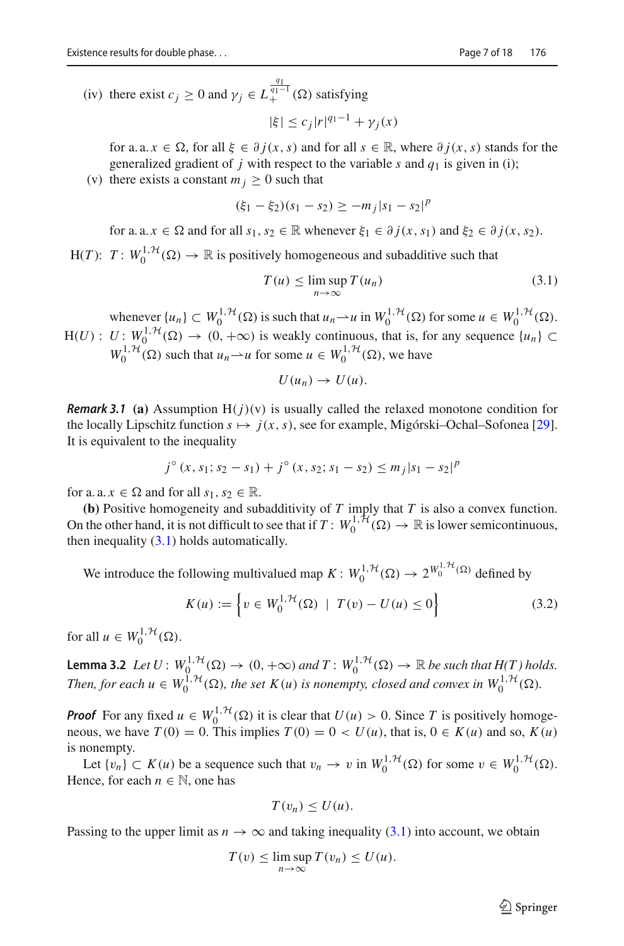$$
|\xi| \leq c_j |r|^{q_1 - 1} + \gamma_j(x)
$$

for a. a. *x* ∈  $\Omega$ , for all  $\xi$  ∈  $\partial j(x, s)$  and for all  $s \in \mathbb{R}$ , where  $\partial j(x, s)$  stands for the generalized gradient of  $j$  with respect to the variable  $s$  and  $q_1$  is given in (i);

(v) there exists a constant  $m_i \geq 0$  such that

$$
(\xi_1 - \xi_2)(s_1 - s_2) \ge -m_j |s_1 - s_2|^p
$$

for a. a.  $x \in \Omega$  and for all  $s_1, s_2 \in \mathbb{R}$  whenever  $\xi_1 \in \partial j(x, s_1)$  and  $\xi_2 \in \partial j(x, s_2)$ .

H(*T*):  $T: W_0^{1, H}(\Omega) \to \mathbb{R}$  is positively homogeneous and subadditive such that

<span id="page-6-0"></span>
$$
T(u) \le \limsup_{n \to \infty} T(u_n)
$$
\n(3.1)

whenever  $\{u_n\} \subset W_0^{1,\mathcal{H}}(\Omega)$  is such that  $u_n \to u$  in  $W_0^{1,\mathcal{H}}(\Omega)$  for some  $u \in W_0^{1,\mathcal{H}}(\Omega)$ .  $H(U): U: W_0^{1,1}(\Omega) \to (0, +\infty)$  is weakly continuous, that is, for any sequence  $\{u_n\} \subset$  $W_0^{1, \mathcal{H}}(\Omega)$  such that  $u_n \to u$  for some  $u \in W_0^{1, \mathcal{H}}(\Omega)$ , we have

<span id="page-6-2"></span>
$$
U(u_n)\to U(u).
$$

<span id="page-6-1"></span>*Remark 3.1* (a) Assumption  $H(j)(v)$  is usually called the relaxed monotone condition for the locally Lipschitz function  $s \mapsto j(x, s)$ , see for example, Migórski–Ochal–Sofonea [\[29\]](#page-17-15). It is equivalent to the inequality

$$
j^{\circ}(x, s_1; s_2 - s_1) + j^{\circ}(x, s_2; s_1 - s_2) \leq m_j |s_1 - s_2|^p
$$

for a.  $a \cdot x \in \Omega$  and for all  $s_1, s_2 \in \mathbb{R}$ .

**(b)** Positive homogeneity and subadditivity of *T* imply that *T* is also a convex function. On the other hand, it is not difficult to see that if  $T: W_0^{1, H}(\Omega) \to \mathbb{R}$  is lower semicontinuous, then inequality  $(3.1)$  holds automatically.

We introduce the following multivalued map  $K: W_0^{1, H}(\Omega) \to 2^{W_0^{1, H}(\Omega)}$  defined by

<span id="page-6-3"></span>
$$
K(u) := \left\{ v \in W_0^{1, \mathcal{H}}(\Omega) \mid T(v) - U(u) \le 0 \right\}
$$
 (3.2)

for all  $u \in W_0^{1, \mathcal{H}}(\Omega)$ .

**Lemma 3.2** Let  $U: W_0^{1,1}(\Omega) \to (0, +\infty)$  and  $T: W_0^{1,1}(\Omega) \to \mathbb{R}$  be such that  $H(T)$  holds. *Then, for each*  $u \in W_0^{1, H}(\Omega)$ , the set  $K(u)$  is nonempty, closed and convex in  $W_0^{1, H}(\Omega)$ .

*Proof* For any fixed  $u \in W_0^{1, \mathcal{H}}(\Omega)$  it is clear that  $U(u) > 0$ . Since *T* is positively homogeneous, we have  $T(0) = 0$ . This implies  $T(0) = 0 < U(u)$ , that is,  $0 \in K(u)$  and so,  $K(u)$ is nonempty.

Let  $\{v_n\} \subset K(u)$  be a sequence such that  $v_n \to v$  in  $W_0^{1, \mathcal{H}}(\Omega)$  for some  $v \in W_0^{1, \mathcal{H}}(\Omega)$ . Hence, for each  $n \in \mathbb{N}$ , one has

$$
T(v_n)\leq U(u).
$$

Passing to the upper limit as  $n \to \infty$  and taking inequality [\(3.1\)](#page-6-0) into account, we obtain

$$
T(v) \leq \limsup_{n \to \infty} T(v_n) \leq U(u).
$$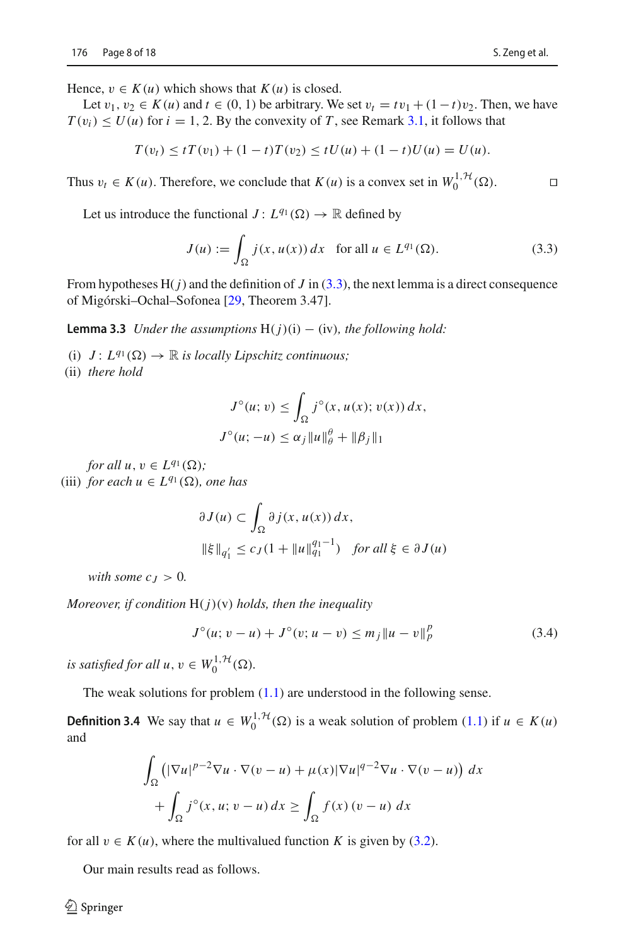Hence,  $v \in K(u)$  which shows that  $K(u)$  is closed.

Let  $v_1, v_2 \in K(u)$  and  $t \in (0, 1)$  be arbitrary. We set  $v_t = tv_1 + (1-t)v_2$ . Then, we have  $T(v_i) \le U(u)$  for  $i = 1, 2$ . By the convexity of *T*, see Remark [3.1,](#page-6-1) it follows that

$$
T(v_t) \leq tT(v_1) + (1-t)T(v_2) \leq tU(u) + (1-t)U(u) = U(u).
$$

Thus  $v_t \in K(u)$ . Therefore, we conclude that  $K(u)$  is a convex set in  $W_0^{1, \mathcal{H}}(\Omega)$ ).

Let us introduce the functional  $J: L^{q_1}(\Omega) \to \mathbb{R}$  defined by

<span id="page-7-3"></span><span id="page-7-2"></span>
$$
J(u) := \int_{\Omega} j(x, u(x)) dx \quad \text{for all } u \in L^{q_1}(\Omega). \tag{3.3}
$$

From hypotheses  $H(j)$  and the definition of *J* in [\(3.3\)](#page-7-2), the next lemma is a direct consequence of Migórski–Ochal–Sofonea [\[29](#page-17-15), Theorem 3.47].

**Lemma 3.3** *Under the assumptions*  $H(j)(i) - (iv)$ *, the following hold:* 

(i)  $J: L^{q_1}(\Omega) \to \mathbb{R}$  *is locally Lipschitz continuous;* 

(ii) *there hold*

$$
J^{\circ}(u; v) \leq \int_{\Omega} j^{\circ}(x, u(x); v(x)) dx,
$$
  

$$
J^{\circ}(u; -u) \leq \alpha_j \|u\|_{\theta}^{\theta} + \|\beta_j\|_1
$$

*for all*  $u, v \in L^{q_1}(\Omega)$ ;

(iii) *for each*  $u \in L^{q_1}(\Omega)$ *, one has* 

$$
\partial J(u) \subset \int_{\Omega} \partial j(x, u(x)) dx,
$$
  

$$
\|\xi\|_{q'_1} \le c_J (1 + \|u\|_{q_1}^{q_1 - 1}) \quad \text{for all } \xi \in \partial J(u)
$$

*with some*  $c_I > 0$ *.* 

*Moreover, if condition* H(*j*)(v) *holds, then the inequality*

<span id="page-7-4"></span><span id="page-7-0"></span>
$$
J^{\circ}(u; v - u) + J^{\circ}(v; u - v) \le m_j \|u - v\|_p^p \tag{3.4}
$$

*is satisfied for all*  $u, v \in W_0^{1, H}(\Omega)$ .

The weak solutions for problem  $(1.1)$  are understood in the following sense.

**Definition 3.4** We say that  $u \in W_0^{1, \mathcal{H}}(\Omega)$  is a weak solution of problem [\(1.1\)](#page-1-0) if  $u \in K(u)$ and

<span id="page-7-1"></span>
$$
\int_{\Omega} \left( |\nabla u|^{p-2} \nabla u \cdot \nabla (v - u) + \mu(x) |\nabla u|^{q-2} \nabla u \cdot \nabla (v - u) \right) dx
$$

$$
+ \int_{\Omega} j^{\circ}(x, u; v - u) dx \ge \int_{\Omega} f(x) (v - u) dx
$$

for all  $v \in K(u)$ , where the multivalued function *K* is given by [\(3.2\)](#page-6-2).

Our main results read as follows.

 $\circledcirc$  Springer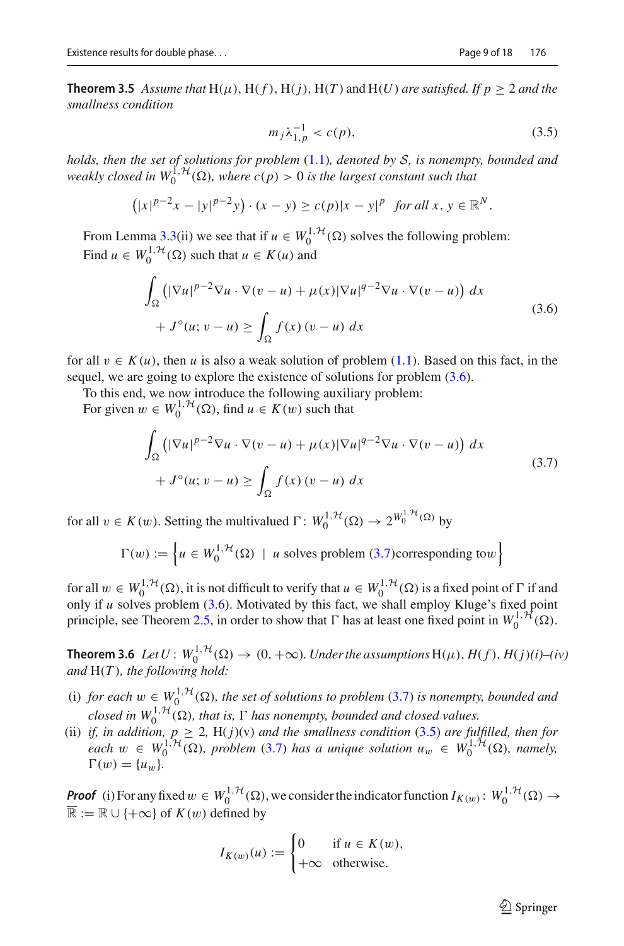**Theorem 3.5** Assume that  $H(\mu)$ ,  $H(f)$ ,  $H(f)$ ,  $H(T)$  and  $H(U)$  *are satisfied. If*  $p > 2$  *and the smallness condition*

<span id="page-8-3"></span><span id="page-8-2"></span>
$$
m_j \lambda_{1,p}^{-1} < c(p), \tag{3.5}
$$

*holds, then the set of solutions for problem* [\(1.1\)](#page-1-0)*, denoted by S, is nonempty, bounded and weakly closed in*  $W_0^{1, H}(\Omega)$ *, where*  $c(p) > 0$  *is the largest constant such that* 

$$
(|x|^{p-2}x - |y|^{p-2}y) \cdot (x - y) \ge c(p)|x - y|^p \text{ for all } x, y \in \mathbb{R}^N.
$$

From Lemma [3.3\(](#page-7-3)ii) we see that if  $u \in W_0^{1, H}(\Omega)$  solves the following problem: Find  $u \in W_0^{1, H}(\Omega)$  such that  $u \in K(u)$  and

$$
\int_{\Omega} \left( |\nabla u|^{p-2} \nabla u \cdot \nabla (v - u) + \mu(x) |\nabla u|^{q-2} \nabla u \cdot \nabla (v - u) \right) dx
$$
\n
$$
+ J^{\circ}(u; v - u) \ge \int_{\Omega} f(x) (v - u) dx
$$
\n(3.6)

for all  $v \in K(u)$ , then *u* is also a weak solution of problem [\(1.1\)](#page-1-0). Based on this fact, in the sequel, we are going to explore the existence of solutions for problem  $(3.6)$ .

To this end, we now introduce the following auxiliary problem:

For given  $w \in W_0^{1, H}(\Omega)$ , find  $u \in K(w)$  such that

<span id="page-8-0"></span>
$$
\int_{\Omega} \left( |\nabla u|^{p-2} \nabla u \cdot \nabla (v - u) + \mu(x) |\nabla u|^{q-2} \nabla u \cdot \nabla (v - u) \right) dx
$$
\n
$$
+ J^{\circ}(u; v - u) \ge \int_{\Omega} f(x) (v - u) dx
$$
\n(3.7)

for all  $v \in K(w)$ . Setting the multivalued  $\Gamma: W_0^{1,1}(\Omega) \to 2^{W_0^{1,1}(\Omega)}$  by

$$
\Gamma(w) := \left\{ u \in W_0^{1, \mathcal{H}}(\Omega) \mid u \text{ solves problem (3.7) corresponding to } w \right\}
$$

for all  $w \in W_0^{1,1}(\Omega)$ , it is not difficult to verify that  $u \in W_0^{1,1}(\Omega)$  is a fixed point of  $\Gamma$  if and only if *u* solves problem [\(3.6\)](#page-8-2). Motivated by this fact, we shall employ Kluge's fixed point principle, see Theorem [2.5,](#page-5-1) in order to show that  $\Gamma$  has at least one fixed point in  $W_0^{1, H}(\Omega)$ .

<span id="page-8-1"></span>**Theorem 3.6** *Let*  $U: W_0^{1, \mathcal{H}}(\Omega) \to (0, +\infty)$ *. Under the assumptions*  $H(\mu)$ *,*  $H(f)$ *,*  $H(j)(i)$ *–(iv) and* H(*T* )*, the following hold:*

- (i) *for each*  $w \in W_0^{1,1}(\Omega)$ , *the set of solutions to problem* [\(3.7\)](#page-8-0) *is nonempty, bounded and closed in*  $W_0^{1,1}(\Omega)$ , that is,  $\Gamma$  has nonempty, bounded and closed values.
- (ii) *if, in addition*,  $p \geq 2$ , H(*j*)(v) *and the smallness condition* [\(3.5\)](#page-8-3) *are fulfilled, then for each*  $w \in W_0^{1,1}(\Omega)$ , problem [\(3.7\)](#page-8-0) has a unique solution  $u_w \in W_0^{1,1}(\Omega)$ , namely,  $\Gamma(w) = \{u_w\}.$

*Proof* (i) For any fixed  $w \in W_0^{1, \mathcal{H}}(\Omega)$ , we consider the indicator function  $I_{K(w)}: W_0^{1, \mathcal{H}}(\Omega) \to$  $\overline{\mathbb{R}} := \mathbb{R} \cup \{+\infty\}$  of  $K(w)$  defined by

$$
I_{K(w)}(u) := \begin{cases} 0 & \text{if } u \in K(w), \\ +\infty & \text{otherwise.} \end{cases}
$$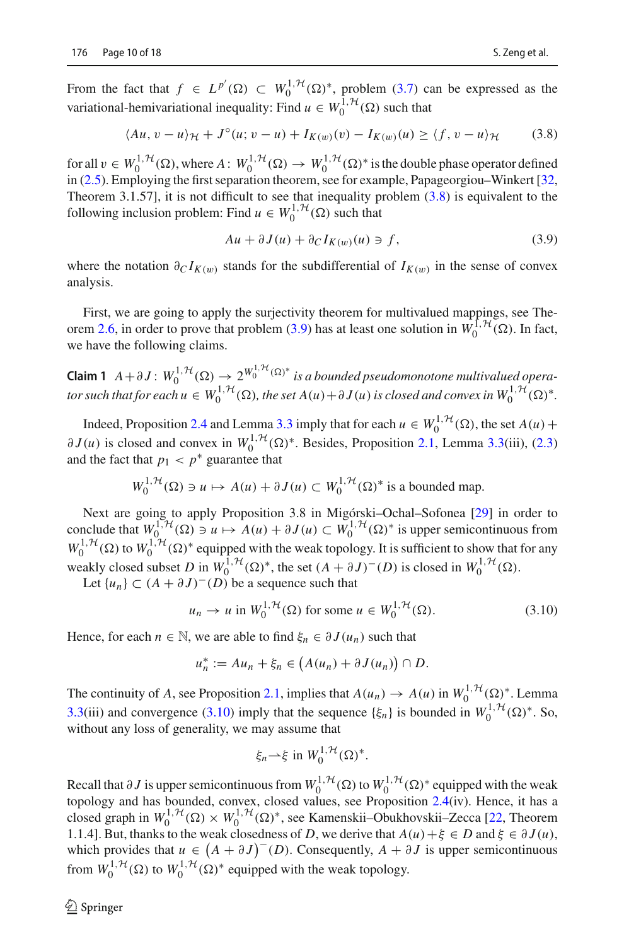From the fact that  $f \in L^{p'}(\Omega) \subset W_0^{1,\mathcal{H}}(\Omega)^*$ , problem [\(3.7\)](#page-8-0) can be expressed as the variational-hemivariational inequality: Find  $u \in W_0^{1, \mathcal{H}}(\Omega)$  such that

$$
\langle Au, v - u \rangle_{\mathcal{H}} + J^{\circ}(u; v - u) + I_{K(w)}(v) - I_{K(w)}(u) \ge \langle f, v - u \rangle_{\mathcal{H}}
$$
(3.8)

for all  $v \in W_0^{1,\mathcal{H}}(\Omega)$ , where  $A: W_0^{1,\mathcal{H}}(\Omega) \to W_0^{1,\mathcal{H}}(\Omega)^*$  is the double phase operator defined in [\(2.5\)](#page-4-0). Employing the first separation theorem, see for example, Papageorgiou–Winkert [\[32,](#page-17-17) Theorem 3.1.57], it is not difficult to see that inequality problem [\(3.8\)](#page-9-0) is equivalent to the following inclusion problem: Find  $u \in W_0^{1, \mathcal{H}}(\Omega)$  such that

<span id="page-9-3"></span><span id="page-9-1"></span><span id="page-9-0"></span>
$$
Au + \partial J(u) + \partial_C I_{K(w)}(u) \ni f,
$$
\n(3.9)

where the notation  $\partial_C I_{K(w)}$  stands for the subdifferential of  $I_{K(w)}$  in the sense of convex analysis.

First, we are going to apply the surjectivity theorem for multivalued mappings, see The-orem [2.6,](#page-5-2) in order to prove that problem [\(3.9\)](#page-9-1) has at least one solution in  $W_0^{\{f, H\}}(\Omega)$ . In fact, we have the following claims.

**Claim 1**  $A + \partial J$ :  $W_0^{1, H}(\Omega) \rightarrow 2^{W_0^{1, H}(\Omega)^*}$  *is a bounded pseudomonotone multivalued operator such that for each*  $u \in W_0^{1,\mathcal{H}}(\Omega)$ *, the set*  $A(u) + \partial J(u)$  *is closed and convex in*  $W_0^{1,\mathcal{H}}(\Omega)^*$ *.* 

Indeed, Proposition [2.4](#page-4-1) and Lemma [3.3](#page-7-3) imply that for each  $u \in W_0^{1, H}(\Omega)$ , the set  $A(u)$  +  $\partial J(u)$  is closed and convex in  $W_0^{1,1}(\Omega)$ <sup>\*</sup>. Besides, Proposition [2.1,](#page-4-2) Lemma [3.3\(](#page-7-3)iii), [\(2.3\)](#page-3-2) and the fact that  $p_1 < p^*$  guarantee that

$$
W_0^{1, \mathcal{H}}(\Omega) \ni u \mapsto A(u) + \partial J(u) \subset W_0^{1, \mathcal{H}}(\Omega)^*
$$
 is a bounded map.

Next are going to apply Proposition 3.8 in Migórski–Ochal–Sofonea [\[29](#page-17-15)] in order to conclude that  $W_0^{1,1}(\Omega) \ni u \mapsto A(u) + \partial J(u) \subset W_0^{1,1}(\Omega)^*$  is upper semicontinuous from  $W_0^{1, \mathcal{H}}(\Omega)$  to  $W_0^{1, \mathcal{H}}(\Omega)$ <sup>\*</sup> equipped with the weak topology. It is sufficient to show that for any weakly closed subset *D* in  $W_0^{1, H}(\Omega)$ <sup>\*</sup>, the set  $(A + \partial J)^{-}(D)$  is closed in  $W_0^{1, H}(\Omega)$ .

Let  $\{u_n\} \subset (A + \partial J)^{-1}(D)$  be a sequence such that

$$
u_n \to u \text{ in } W_0^{1, \mathcal{H}}(\Omega) \text{ for some } u \in W_0^{1, \mathcal{H}}(\Omega). \tag{3.10}
$$

Hence, for each  $n \in \mathbb{N}$ , we are able to find  $\xi_n \in \partial J(u_n)$  such that

$$
u_n^* := Au_n + \xi_n \in (A(u_n) + \partial J(u_n)) \cap D.
$$

The continuity of *A*, see Proposition [2.1,](#page-4-2) implies that  $A(u_n) \to A(u)$  in  $W_0^{1,1}(\Omega)$ <sup>\*</sup>. Lemma [3.3\(](#page-7-3)iii) and convergence [\(3.10\)](#page-9-2) imply that the sequence  $\{\xi_n\}$  is bounded in  $W_0^{1,1}(\Omega)^*$ . So, without any loss of generality, we may assume that

<span id="page-9-2"></span>
$$
\xi_n \to \xi \text{ in } W_0^{1, \mathcal{H}}(\Omega)^*.
$$

Recall that ∂ *J* is upper semicontinuous from  $W_0^{1, H}(\Omega)$  to  $W_0^{1, H}(\Omega)$ <sup>\*</sup> equipped with the weak topology and has bounded, convex, closed values, see Proposition [2.4\(](#page-4-1)iv). Hence, it has a closed graph in  $W_0^{1, H}(\Omega) \times W_0^{1, H}(\Omega)^*$ , see Kamenskii–Obukhovskii–Zecca [\[22](#page-17-18), Theorem 1.1.4]. But, thanks to the weak closedness of *D*, we derive that  $A(u) + \xi \in D$  and  $\xi \in \partial J(u)$ , which provides that  $u \in (A + \partial J)^{-1}(D)$ . Consequently,  $A + \partial J$  is upper semicontinuous from  $W_0^{1, H}(\Omega)$  to  $W_0^{1, H}(\Omega)$ <sup>\*</sup> equipped with the weak topology.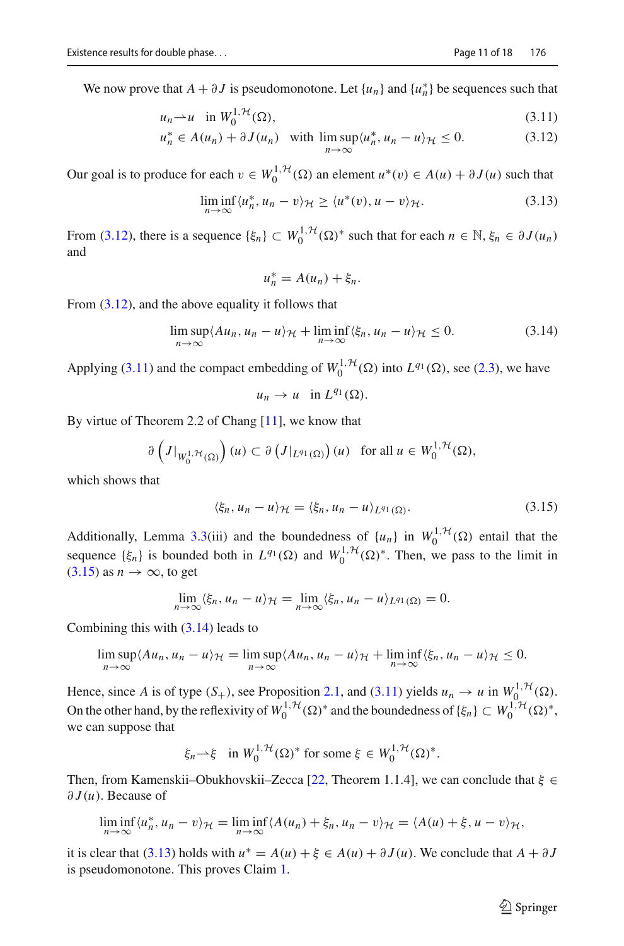We now prove that  $A + \partial J$  is pseudomonotone. Let  $\{u_n\}$  and  $\{u_n^*\}$  be sequences such that

$$
u_n \rightharpoonup u \quad \text{in } W_0^{1, \mathcal{H}}(\Omega),\tag{3.11}
$$

$$
u_n^* \in A(u_n) + \partial J(u_n) \quad \text{with } \limsup_{n \to \infty} \langle u_n^*, u_n - u \rangle_{\mathcal{H}} \le 0. \tag{3.12}
$$

Our goal is to produce for each  $v \in W_0^{1, \mathcal{H}}(\Omega)$  an element  $u^*(v) \in A(u) + \partial J(u)$  such that

$$
\liminf_{n \to \infty} \langle u_n^*, u_n - v \rangle_{\mathcal{H}} \ge \langle u^*(v), u - v \rangle_{\mathcal{H}}.
$$
\n(3.13)

From [\(3.12\)](#page-10-0), there is a sequence  $\{\xi_n\} \subset W_0^{1,\mathcal{H}}(\Omega)^*$  such that for each  $n \in \mathbb{N}, \xi_n \in \partial J(u_n)$ and

<span id="page-10-4"></span><span id="page-10-3"></span><span id="page-10-1"></span><span id="page-10-0"></span>
$$
u_n^* = A(u_n) + \xi_n.
$$

From [\(3.12\)](#page-10-0), and the above equality it follows that

$$
\limsup_{n \to \infty} \langle Au_n, u_n - u \rangle_{\mathcal{H}} + \liminf_{n \to \infty} \langle \xi_n, u_n - u \rangle_{\mathcal{H}} \le 0.
$$
 (3.14)

Applying [\(3.11\)](#page-10-1) and the compact embedding of  $W_0^{1, H}(\Omega)$  into  $L^{q_1}(\Omega)$ , see [\(2.3\)](#page-3-2), we have

<span id="page-10-2"></span>
$$
u_n \to u \quad \text{in } L^{q_1}(\Omega).
$$

By virtue of Theorem 2.2 of Chang [\[11\]](#page-16-18), we know that

$$
\partial \left( J|_{W_0^{1,\mathcal{H}}(\Omega)} \right) (u) \subset \partial \left( J|_{L^{q_1}(\Omega)} \right) (u) \text{ for all } u \in W_0^{1,\mathcal{H}}(\Omega),
$$

which shows that

$$
\langle \xi_n, u_n - u \rangle_{\mathcal{H}} = \langle \xi_n, u_n - u \rangle_{L^{q_1}(\Omega)}.
$$
\n(3.15)

Additionally, Lemma [3.3\(](#page-7-3)iii) and the boundedness of  $\{u_n\}$  in  $W_0^{1, \mathcal{H}}(\Omega)$  entail that the sequence  $\{\xi_n\}$  is bounded both in  $L^{q_1}(\Omega)$  and  $W_0^{1,\mathcal{H}}(\Omega)^*$ . Then, we pass to the limit in  $(3.15)$  as  $n \rightarrow \infty$ , to get

$$
\lim_{n\to\infty}\langle \xi_n, u_n-u\rangle_{\mathcal{H}}=\lim_{n\to\infty}\langle \xi_n, u_n-u\rangle_{L^{q_1}(\Omega)}=0.
$$

Combining this with [\(3.14\)](#page-10-3) leads to

$$
\limsup_{n\to\infty}\langle Au_n, u_n-u\rangle_{\mathcal{H}}=\limsup_{n\to\infty}\langle Au_n, u_n-u\rangle_{\mathcal{H}}+\liminf_{n\to\infty}\langle \xi_n, u_n-u\rangle_{\mathcal{H}}\leq 0.
$$

Hence, since *A* is of type  $(S_+)$ , see Proposition [2.1,](#page-4-2) and [\(3.11\)](#page-10-1) yields  $u_n \to u$  in  $W^{1, H}_{0}(\Omega)$ . On the other hand, by the reflexivity of  $W_0^{1, H}(\Omega)^*$  and the boundedness of  $\{\xi_n\} \subset W_0^{1, H}(\Omega)^*,$ we can suppose that

<span id="page-10-5"></span>
$$
\xi_n \to \xi
$$
 in  $W_0^{1,\mathcal{H}}(\Omega)^*$  for some  $\xi \in W_0^{1,\mathcal{H}}(\Omega)^*$ .

Then, from Kamenskii–Obukhovskii–Zecca [\[22,](#page-17-18) Theorem 1.1.4], we can conclude that  $\xi \in$ ∂ *J* (*u*). Because of

$$
\liminf_{n\to\infty}\langle u_n^*, u_n-v\rangle_{\mathcal{H}}=\liminf_{n\to\infty}\langle A(u_n)+\xi_n, u_n-v\rangle_{\mathcal{H}}=\langle A(u)+\xi, u-v\rangle_{\mathcal{H}},
$$

it is clear that [\(3.13\)](#page-10-4) holds with  $u^* = A(u) + \xi \in A(u) + \partial J(u)$ . We conclude that  $A + \partial J$ is pseudomonotone. This proves Claim [1.](#page-9-3)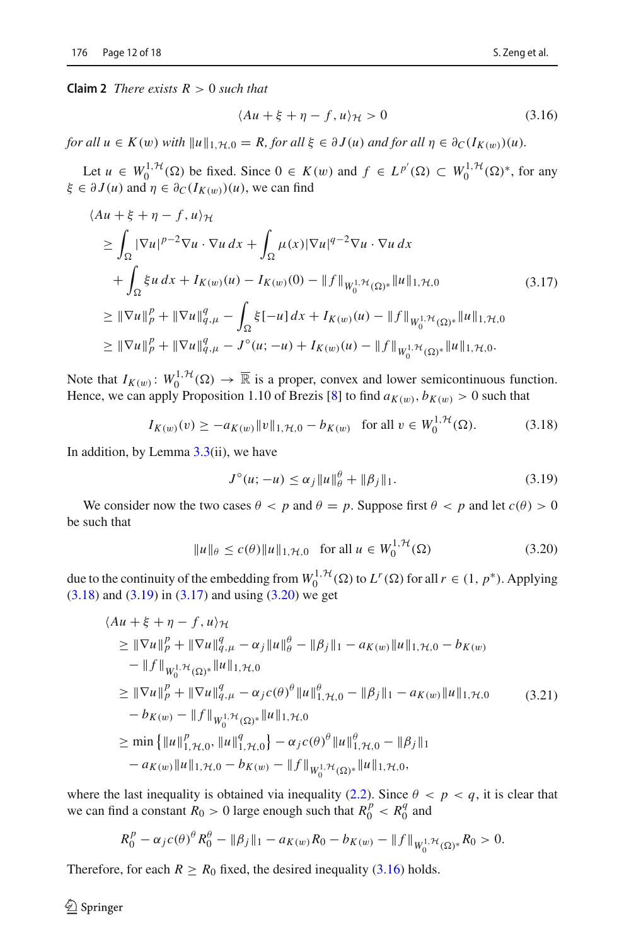**Claim 2** *There exists R* > 0 *such that*

<span id="page-11-4"></span><span id="page-11-2"></span>
$$
\langle Au + \xi + \eta - f, u \rangle_{\mathcal{H}} > 0 \tag{3.16}
$$

*for all*  $u \in K(w)$  *with*  $||u||_{1,\mathcal{H},0} = R$ , *for all*  $\xi \in \partial J(u)$  *and for all*  $\eta \in \partial_C(I_{K(w)})(u)$ *.* 

Let  $u \in W_0^{1, \mathcal{H}}(\Omega)$  be fixed. Since  $0 \in K(w)$  and  $f \in L^{p'}(\Omega) \subset W_0^{1, \mathcal{H}}(\Omega)^*$ , for any  $\xi \in \partial J(u)$  and  $\eta \in \partial_C(I_{K(w)})(u)$ , we can find

$$
\langle Au + \xi + \eta - f, u \rangle_{\mathcal{H}}
$$
\n
$$
\geq \int_{\Omega} |\nabla u|^{p-2} \nabla u \cdot \nabla u \, dx + \int_{\Omega} \mu(x) |\nabla u|^{q-2} \nabla u \cdot \nabla u \, dx
$$
\n
$$
+ \int_{\Omega} \xi u \, dx + I_{K(w)}(u) - I_{K(w)}(0) - ||f||_{W_{0}^{1,1}(\Omega)^{*}} ||u||_{1,\mathcal{H},0}
$$
\n
$$
\geq ||\nabla u||_{p}^{p} + ||\nabla u||_{q,\mu}^{q} - \int_{\Omega} \xi[-u] \, dx + I_{K(w)}(u) - ||f||_{W_{0}^{1,1}(\Omega)^{*}} ||u||_{1,\mathcal{H},0}
$$
\n
$$
\geq ||\nabla u||_{p}^{p} + ||\nabla u||_{q,\mu}^{q} - J^{\circ}(u; -u) + I_{K(w)}(u) - ||f||_{W_{0}^{1,1}(\Omega)^{*}} ||u||_{1,\mathcal{H},0}.
$$
\n(3.17)

Note that  $I_{K(w)}: W_0^{1,1}(\Omega) \to \overline{\mathbb{R}}$  is a proper, convex and lower semicontinuous function. Hence, we can apply Proposition 1.10 of Brezis [\[8](#page-16-19)] to find  $a_{K(w)}, b_{K(w)} > 0$  such that

$$
I_{K(w)}(v) \ge -a_{K(w)} \|v\|_{1,\mathcal{H},0} - b_{K(w)} \quad \text{for all } v \in W_0^{1,\mathcal{H}}(\Omega). \tag{3.18}
$$

In addition, by Lemma  $3.3$ (ii), we have

<span id="page-11-5"></span><span id="page-11-3"></span><span id="page-11-1"></span><span id="page-11-0"></span>
$$
J^{\circ}(u; -u) \le \alpha_j \|u\|_{\theta}^{\theta} + \|\beta_j\|_1.
$$
 (3.19)

We consider now the two cases  $\theta < p$  and  $\theta = p$ . Suppose first  $\theta < p$  and let  $c(\theta) > 0$ be such that

$$
||u||_{\theta} \le c(\theta) ||u||_{1,\mathcal{H},0} \quad \text{for all } u \in W_0^{1,\mathcal{H}}(\Omega)
$$
 (3.20)

due to the continuity of the embedding from  $W_0^{1, H}(\Omega)$  to  $L^r(\Omega)$  for all  $r \in (1, p^*)$ . Applying  $(3.18)$  and  $(3.19)$  in  $(3.17)$  and using  $(3.20)$  we get

$$
\langle Au + \xi + \eta - f, u \rangle_{\mathcal{H}}
$$
  
\n
$$
\geq \|\nabla u\|_{p}^{p} + \|\nabla u\|_{q,\mu}^{q} - \alpha_{j} \|u\|_{\theta}^{\theta} - \|\beta_{j}\|_{1} - a_{K(w)} \|u\|_{1,\mathcal{H},0} - b_{K(w)}
$$
  
\n
$$
- \|f\|_{W_{0}^{1,\mathcal{H}}(\Omega)^{*}} \|u\|_{1,\mathcal{H},0}
$$
  
\n
$$
\geq \|\nabla u\|_{p}^{p} + \|\nabla u\|_{q,\mu}^{q} - \alpha_{j}c(\theta)^{\theta} \|u\|_{1,\mathcal{H},0}^{\theta} - \|\beta_{j}\|_{1} - a_{K(w)} \|u\|_{1,\mathcal{H},0}
$$
  
\n
$$
- b_{K(w)} - \|f\|_{W_{0}^{1,\mathcal{H}}(\Omega)^{*}} \|u\|_{1,\mathcal{H},0}
$$
  
\n
$$
\geq \min \{ \|u\|_{1,\mathcal{H},0}^{p}, \|u\|_{1,\mathcal{H},0}^{q} \} - \alpha_{j}c(\theta)^{\theta} \|u\|_{1,\mathcal{H},0}^{\theta} - \|\beta_{j}\|_{1}
$$
  
\n
$$
- a_{K(w)} \|u\|_{1,\mathcal{H},0} - b_{K(w)} - \|f\|_{W_{0}^{1,\mathcal{H}}(\Omega)^{*}} \|u\|_{1,\mathcal{H},0},
$$

where the last inequality is obtained via inequality [\(2.2\)](#page-3-3). Since  $\theta < p < q$ , it is clear that we can find a constant  $\overline{R}_0 > 0$  large enough such that  $\overline{R}_0^p < \overline{R}_0^q$  and

$$
R_0^p - \alpha_j c(\theta)^{\theta} R_0^{\theta} - \|\beta_j\|_1 - a_{K(w)} R_0 - b_{K(w)} - \|f\|_{W_0^{1,\mathcal{H}}(\Omega)^*} R_0 > 0.
$$

Therefore, for each  $R \ge R_0$  fixed, the desired inequality [\(3.16\)](#page-11-4) holds.

 $\circledcirc$  Springer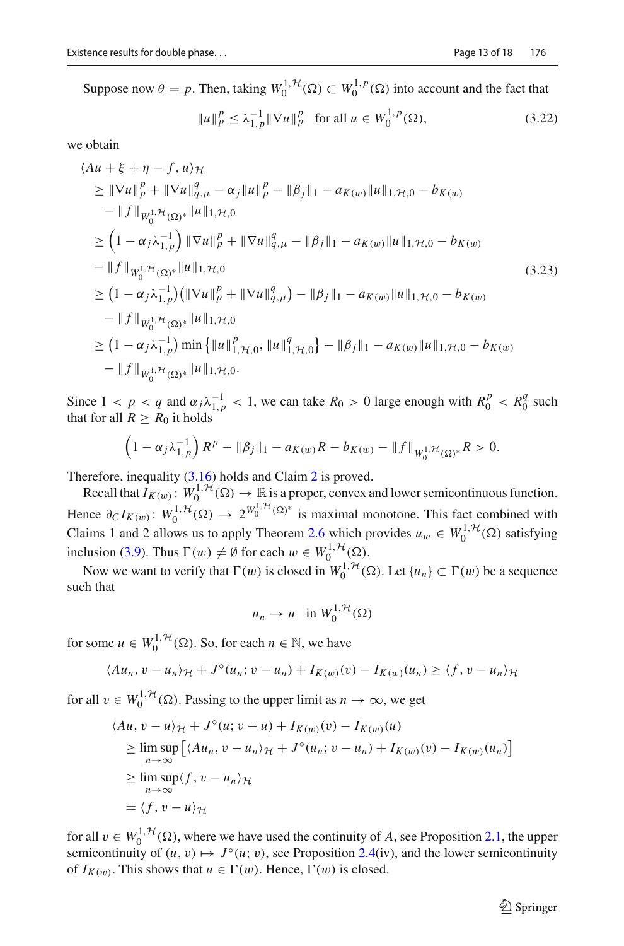Suppose now  $\theta = p$ . Then, taking  $W_0^{1, H}(\Omega) \subset W_0^{1, p}(\Omega)$  into account and the fact that

<span id="page-12-1"></span><span id="page-12-0"></span>
$$
||u||_p^p \le \lambda_{1,p}^{-1} ||\nabla u||_p^p \quad \text{for all } u \in W_0^{1,p}(\Omega),
$$
 (3.22)

we obtain

$$
\langle Au + \xi + \eta - f, u \rangle_{\mathcal{H}}
$$
  
\n
$$
\geq \|\nabla u\|_{p}^{p} + \|\nabla u\|_{q,\mu}^{q} - \alpha_{j} \|u\|_{p}^{p} - \|\beta_{j}\|_{1} - a_{K(w)} \|u\|_{1,\mathcal{H},0} - b_{K(w)}
$$
  
\n
$$
- \|f\|_{W_{0}^{1,\mathcal{H}}(\Omega)^{*}} \|u\|_{1,\mathcal{H},0}
$$
  
\n
$$
\geq \left(1 - \alpha_{j}\lambda_{1,p}^{-1}\right) \|\nabla u\|_{p}^{p} + \|\nabla u\|_{q,\mu}^{q} - \|\beta_{j}\|_{1} - a_{K(w)} \|u\|_{1,\mathcal{H},0} - b_{K(w)}
$$
  
\n
$$
- \|f\|_{W_{0}^{1,\mathcal{H}}(\Omega)^{*}} \|u\|_{1,\mathcal{H},0}
$$
  
\n
$$
\geq (1 - \alpha_{j}\lambda_{1,p}^{-1}) (\|\nabla u\|_{p}^{p} + \|\nabla u\|_{q,\mu}^{q}) - \|\beta_{j}\|_{1} - a_{K(w)} \|u\|_{1,\mathcal{H},0} - b_{K(w)}
$$
  
\n
$$
- \|f\|_{W_{0}^{1,\mathcal{H}}(\Omega)^{*}} \|u\|_{1,\mathcal{H},0}
$$
  
\n
$$
\geq (1 - \alpha_{j}\lambda_{1,p}^{-1}) \min \{ \|u\|_{1,\mathcal{H},0}^{p}, \|u\|_{1,\mathcal{H},0}^{q} \} - \|\beta_{j}\|_{1} - a_{K(w)} \|u\|_{1,\mathcal{H},0} - b_{K(w)}
$$
  
\n
$$
- \|f\|_{W_{0}^{1,\mathcal{H}}(\Omega)^{*}} \|u\|_{1,\mathcal{H},0}.
$$

Since  $1 < p < q$  and  $\alpha_j \lambda_{1,p}^{-1} < 1$ , we can take  $R_0 > 0$  large enough with  $R_0^p < R_0^q$  such that for all  $R \geq R_0$  it holds

$$
\left(1-\alpha_j\lambda_{1,p}^{-1}\right)R^p - \|\beta_j\|_1 - a_{K(w)}R - b_{K(w)} - \|f\|_{W_0^{1,\mathcal{H}}(\Omega)^*}R > 0.
$$

Therefore, inequality [\(3.16\)](#page-11-4) holds and Claim [2](#page-10-5) is proved.

Recall that  $I_{K(w)}: W_0^{1,\mathcal{H}}(\Omega) \to \overline{\mathbb{R}}$  is a proper, convex and lower semicontinuous function. Hence  $\partial_C I_{K(w)}$ :  $W_0^{1, \mathcal{H}}(\Omega) \to 2^{W_0^{1, \mathcal{H}}(\Omega)^*}$  is maximal monotone. This fact combined with Claims 1 and 2 allows us to apply Theorem [2.6](#page-5-2) which provides  $u_w \in W_0^{1, \mathcal{H}}(\Omega)$  satisfying inclusion [\(3.9\)](#page-9-1). Thus  $\Gamma(w) \neq \emptyset$  for each  $w \in W_0^{1, \mathcal{H}}(\Omega)$ .

Now we want to verify that  $\Gamma(w)$  is closed in  $W_0^{1, H}(\Omega)$ . Let  $\{u_n\} \subset \Gamma(w)$  be a sequence such that

$$
u_n \to u \quad \text{in } W_0^{1, \mathcal{H}}(\Omega)
$$

for some  $u \in W_0^{1, \mathcal{H}}(\Omega)$ . So, for each  $n \in \mathbb{N}$ , we have

$$
\langle Au_n, v - u_n \rangle_{\mathcal{H}} + J^{\circ}(u_n; v - u_n) + I_{K(w)}(v) - I_{K(w)}(u_n) \ge \langle f, v - u_n \rangle_{\mathcal{H}}
$$

for all  $v \in W_0^{1, \mathcal{H}}(\Omega)$ . Passing to the upper limit as  $n \to \infty$ , we get

$$
\langle Au, v - u \rangle_{\mathcal{H}} + J^{\circ}(u; v - u) + I_{K(w)}(v) - I_{K(w)}(u)
$$
  
\n
$$
\geq \limsup_{n \to \infty} \left[ \langle Au_n, v - u_n \rangle_{\mathcal{H}} + J^{\circ}(u_n; v - u_n) + I_{K(w)}(v) - I_{K(w)}(u_n) \right]
$$
  
\n
$$
\geq \limsup_{n \to \infty} \langle f, v - u_n \rangle_{\mathcal{H}}
$$
  
\n
$$
= \langle f, v - u \rangle_{\mathcal{H}}
$$

for all  $v \in W_0^{1, H}(\Omega)$ , where we have used the continuity of *A*, see Proposition [2.1,](#page-4-2) the upper semicontinuity of  $(u, v) \mapsto J^{\circ}(u; v)$ , see Proposition [2.4\(](#page-4-1)iv), and the lower semicontinuity of  $I_{K(w)}$ . This shows that  $u \in \Gamma(w)$ . Hence,  $\Gamma(w)$  is closed.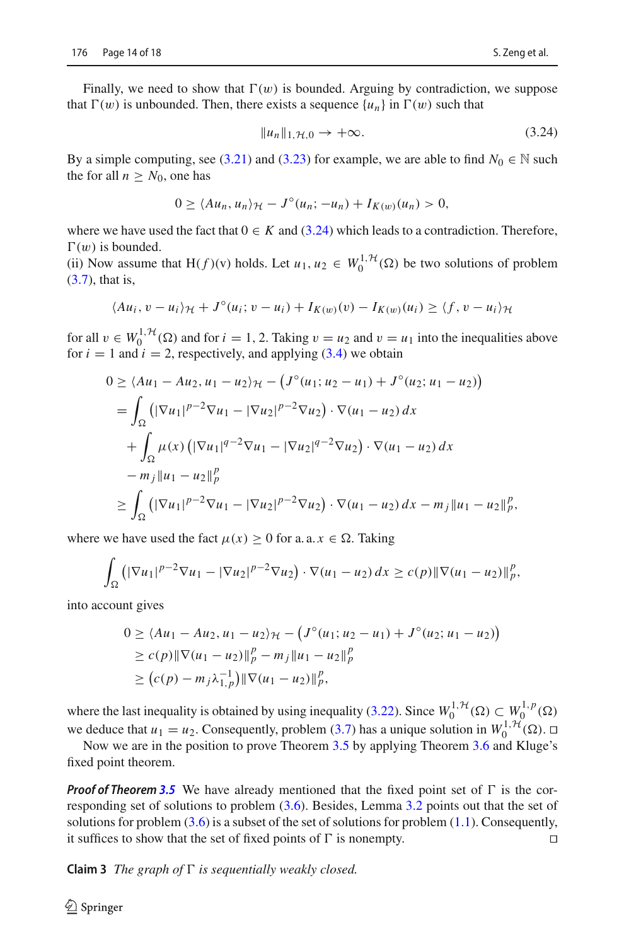<span id="page-13-0"></span>
$$
||u_n||_{1,\mathcal{H},0} \to +\infty. \tag{3.24}
$$

By a simple computing, see [\(3.21\)](#page-11-5) and [\(3.23\)](#page-12-0) for example, we are able to find  $N_0 \in \mathbb{N}$  such the for all  $n \geq N_0$ , one has

$$
0 \ge \langle Au_n, u_n \rangle_{\mathcal{H}} - J^{\circ}(u_n; -u_n) + I_{K(w)}(u_n) > 0,
$$

where we have used the fact that  $0 \in K$  and [\(3.24\)](#page-13-0) which leads to a contradiction. Therefore,  $\Gamma(w)$  is bounded.

(ii) Now assume that H( $f$ )(v) holds. Let  $u_1, u_2 \in W_0^{1, H}(\Omega)$  be two solutions of problem [\(3.7\)](#page-8-0), that is,

$$
\langle Au_i, v - u_i \rangle_{\mathcal{H}} + J^{\circ}(u_i; v - u_i) + I_{K(w)}(v) - I_{K(w)}(u_i) \ge \langle f, v - u_i \rangle_{\mathcal{H}}
$$

for all  $v \in W_0^{1,1}(\Omega)$  and for  $i = 1, 2$ . Taking  $v = u_2$  and  $v = u_1$  into the inequalities above for  $i = 1$  and  $i = 2$ , respectively, and applying  $(3.4)$  we obtain

$$
0 \ge \langle Au_1 - Au_2, u_1 - u_2 \rangle_{\mathcal{H}} - \left( J^{\circ}(u_1; u_2 - u_1) + J^{\circ}(u_2; u_1 - u_2) \right)
$$
  
= 
$$
\int_{\Omega} \left( |\nabla u_1|^{p-2} \nabla u_1 - |\nabla u_2|^{p-2} \nabla u_2 \right) \cdot \nabla (u_1 - u_2) dx
$$
  
+ 
$$
\int_{\Omega} \mu(x) \left( |\nabla u_1|^{q-2} \nabla u_1 - |\nabla u_2|^{q-2} \nabla u_2 \right) \cdot \nabla (u_1 - u_2) dx
$$
  
- 
$$
m_j \|u_1 - u_2\|_p^p
$$
  

$$
\ge \int_{\Omega} \left( |\nabla u_1|^{p-2} \nabla u_1 - |\nabla u_2|^{p-2} \nabla u_2 \right) \cdot \nabla (u_1 - u_2) dx - m_j \|u_1 - u_2\|_p^p,
$$

where we have used the fact  $\mu(x) \ge 0$  for a. a.  $x \in \Omega$ . Taking

$$
\int_{\Omega} \left( |\nabla u_1|^{p-2} \nabla u_1 - |\nabla u_2|^{p-2} \nabla u_2 \right) \cdot \nabla (u_1 - u_2) \, dx \ge c(p) \|\nabla (u_1 - u_2)\|_p^p,
$$

into account gives

$$
0 \ge \langle Au_1 - Au_2, u_1 - u_2 \rangle_{\mathcal{H}} - \left( J^{\circ}(u_1; u_2 - u_1) + J^{\circ}(u_2; u_1 - u_2) \right) \n\ge c(p) \|\nabla(u_1 - u_2)\|_p^p - m_j \|u_1 - u_2\|_p^p \n\ge (c(p) - m_j \lambda_{1,p}^{-1}) \|\nabla(u_1 - u_2)\|_p^p,
$$

where the last inequality is obtained by using inequality [\(3.22\)](#page-12-1). Since  $W_0^{1, \mathcal{H}}(\Omega) \subset W_0^{1, p}(\Omega)$ we deduce that  $u_1 = u_2$ . Consequently, problem [\(3.7\)](#page-8-0) has a unique solution in  $W_0^{1, H}(\Omega)$ .  $\Box$ 

Now we are in the position to prove Theorem [3.5](#page-7-1) by applying Theorem [3.6](#page-8-1) and Kluge's fixed point theorem.

*Proof of Theorem [3.5](#page-7-1)* We have already mentioned that the fixed point set of  $\Gamma$  is the corresponding set of solutions to problem [\(3.6\)](#page-8-2). Besides, Lemma [3.2](#page-6-3) points out that the set of solutions for problem  $(3.6)$  is a subset of the set of solutions for problem  $(1.1)$ . Consequently, it suffices to show that the set of fixed points of  $\Gamma$  is nonempty.  $\Box$ 

<span id="page-13-1"></span>**Claim 3** *The graph of*  $\Gamma$  *is sequentially weakly closed.* 

 $\mathcal{L}$  Springer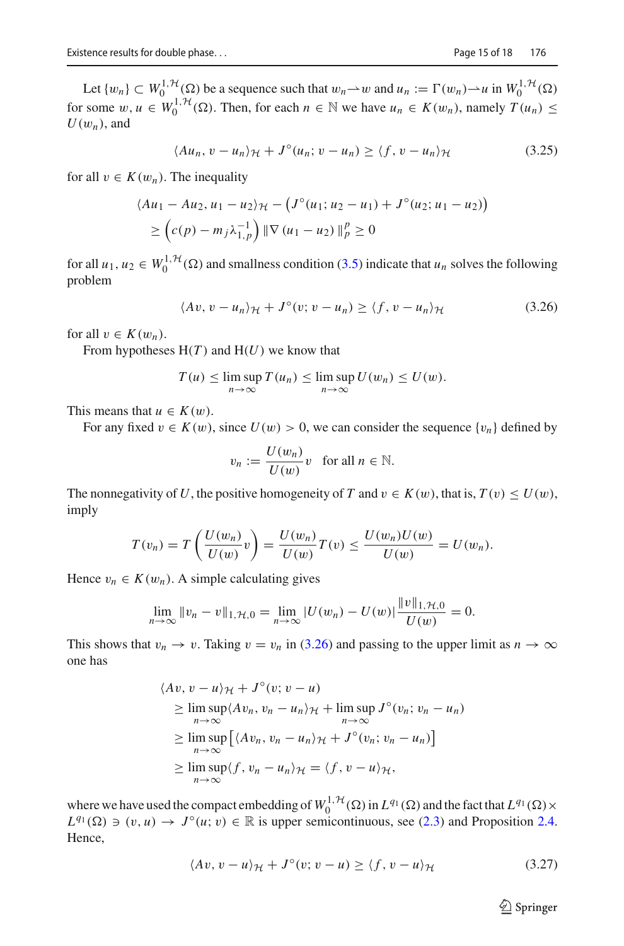Let  $\{w_n\} \subset W_0^{1,1}(\Omega)$  be a sequence such that  $w_n \to w$  and  $u_n := \Gamma(w_n) \to u$  in  $W_0^{1,1}(\Omega)$ for some  $w, u \in W_0^{1, \mathcal{H}}(\Omega)$ . Then, for each  $n \in \mathbb{N}$  we have  $u_n \in K(w_n)$ , namely  $T(u_n) \le$  $U(w_n)$ , and

<span id="page-14-2"></span>
$$
\langle Au_n, v - u_n \rangle_{\mathcal{H}} + J^{\circ}(u_n; v - u_n) \ge \langle f, v - u_n \rangle_{\mathcal{H}}
$$
 (3.25)

for all  $v \in K(w_n)$ . The inequality

$$
\langle Au_1 - Au_2, u_1 - u_2 \rangle_{\mathcal{H}} - \left( J^{\circ}(u_1; u_2 - u_1) + J^{\circ}(u_2; u_1 - u_2) \right) \\
\geq \left( c(p) - m_j \lambda_{1, p}^{-1} \right) \| \nabla (u_1 - u_2) \|_p^p \geq 0
$$

for all  $u_1, u_2 \in W_0^{1,1}(\Omega)$  and smallness condition [\(3.5\)](#page-8-3) indicate that  $u_n$  solves the following problem

$$
\langle Av, v - u_n \rangle_{\mathcal{H}} + J^{\circ}(v; v - u_n) \ge \langle f, v - u_n \rangle_{\mathcal{H}}
$$
 (3.26)

for all  $v \in K(w_n)$ .

From hypotheses H(*T* ) and H(*U*) we know that

$$
T(u) \leq \limsup_{n \to \infty} T(u_n) \leq \limsup_{n \to \infty} U(w_n) \leq U(w).
$$

This means that  $u \in K(w)$ .

For any fixed  $v \in K(w)$ , since  $U(w) > 0$ , we can consider the sequence  $\{v_n\}$  defined by

<span id="page-14-0"></span>
$$
v_n := \frac{U(w_n)}{U(w)} v \quad \text{for all } n \in \mathbb{N}.
$$

The nonnegativity of *U*, the positive homogeneity of *T* and  $v \in K(w)$ , that is,  $T(v) \le U(w)$ , imply

$$
T(v_n) = T\left(\frac{U(w_n)}{U(w)}v\right) = \frac{U(w_n)}{U(w)}T(v) \le \frac{U(w_n)U(w)}{U(w)} = U(w_n).
$$

Hence  $v_n \in K(w_n)$ . A simple calculating gives

$$
\lim_{n \to \infty} ||v_n - v||_{1, \mathcal{H}, 0} = \lim_{n \to \infty} |U(w_n) - U(w)| \frac{||v||_{1, \mathcal{H}, 0}}{U(w)} = 0.
$$

This shows that  $v_n \to v$ . Taking  $v = v_n$  in [\(3.26\)](#page-14-0) and passing to the upper limit as  $n \to \infty$ one has

$$
\langle Av, v - u \rangle_{\mathcal{H}} + J^{\circ}(v; v - u)
$$
  
\n
$$
\geq \limsup_{n \to \infty} \langle Av_n, v_n - u_n \rangle_{\mathcal{H}} + \limsup_{n \to \infty} J^{\circ}(v_n; v_n - u_n)
$$
  
\n
$$
\geq \limsup_{n \to \infty} \left[ \langle Av_n, v_n - u_n \rangle_{\mathcal{H}} + J^{\circ}(v_n; v_n - u_n) \right]
$$
  
\n
$$
\geq \limsup_{n \to \infty} \langle f, v_n - u_n \rangle_{\mathcal{H}} = \langle f, v - u \rangle_{\mathcal{H}},
$$

where we have used the compact embedding of  $W_0^{1, H}(\Omega)$  in  $L^{q_1}(\Omega)$  and the fact that  $L^{q_1}(\Omega) \times$  $L^{q_1}(\Omega) \ni (v, u) \to J^{\circ}(u; v) \in \mathbb{R}$  is upper semicontinuous, see [\(2.3\)](#page-3-2) and Proposition [2.4.](#page-4-1) Hence,

$$
\langle Av, v - u \rangle_{\mathcal{H}} + J^{\circ}(v; v - u) \ge \langle f, v - u \rangle_{\mathcal{H}}
$$
\n(3.27)

ve na

<span id="page-14-1"></span> $\hat{\mathfrak{D}}$  Springer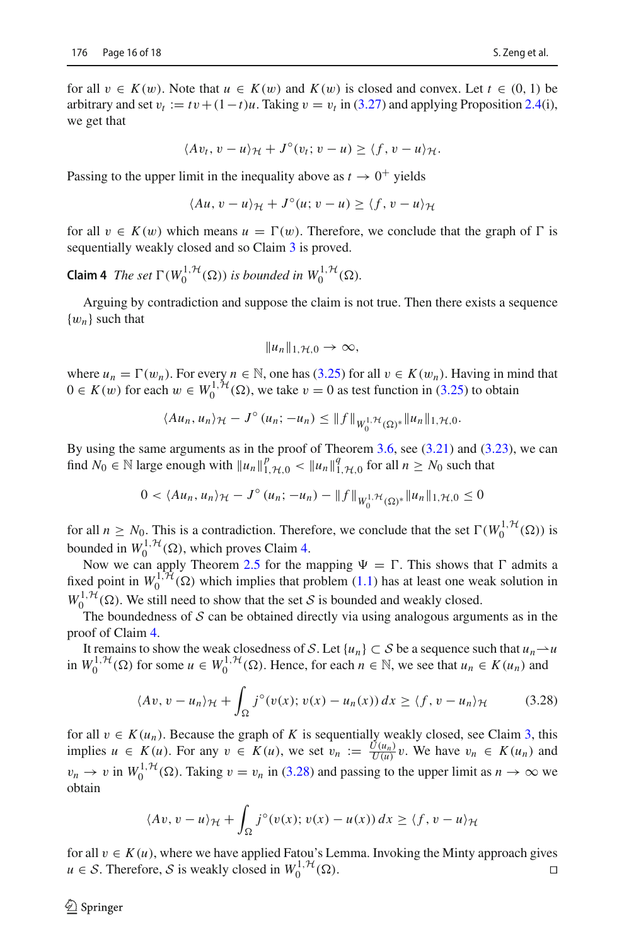for all  $v \in K(w)$ . Note that  $u \in K(w)$  and  $K(w)$  is closed and convex. Let  $t \in (0, 1)$  be arbitrary and set  $v_t := tv + (1-t)u$ . Taking  $v = v_t$  in [\(3.27\)](#page-14-1) and applying Proposition [2.4\(](#page-4-1)i), we get that

$$
\langle Av_t, v-u \rangle_{\mathcal{H}} + J^{\circ}(v_t; v-u) \ge \langle f, v-u \rangle_{\mathcal{H}}.
$$

Passing to the upper limit in the inequality above as  $t \to 0^+$  yields

$$
\langle Au, v - u \rangle_{\mathcal{H}} + J^{\circ}(u; v - u) \ge \langle f, v - u \rangle_{\mathcal{H}}
$$

for all  $v \in K(w)$  which means  $u = \Gamma(w)$ . Therefore, we conclude that the graph of  $\Gamma$  is sequentially weakly closed and so Claim [3](#page-13-1) is proved.

**Claim 4** *The set*  $\Gamma(W_0^{1,\mathcal{H}}(\Omega))$  *is bounded in*  $W_0^{1,\mathcal{H}}(\Omega)$ *.* 

Arguing by contradiction and suppose the claim is not true. Then there exists a sequence  ${w_n}$  such that

<span id="page-15-0"></span>
$$
||u_n||_{1,\mathcal{H},0}\to\infty,
$$

where  $u_n = \Gamma(w_n)$ . For every  $n \in \mathbb{N}$ , one has [\(3.25\)](#page-14-2) for all  $v \in K(w_n)$ . Having in mind that 0 ∈  $K(w)$  for each  $w \in W_0^{1, H}$  ( $\Omega$ ), we take  $v = 0$  as test function in [\(3.25\)](#page-14-2) to obtain

$$
\langle Au_n, u_n \rangle_{\mathcal{H}} - J^{\circ}(u_n; -u_n) \leq \|f\|_{W_0^{1, \mathcal{H}}(\Omega)^*} \|u_n\|_{1, \mathcal{H}, 0}.
$$

By using the same arguments as in the proof of Theorem  $3.6$ , see  $(3.21)$  and  $(3.23)$ , we can find  $N_0 \in \mathbb{N}$  large enough with  $||u_n||_{1, \mathcal{H},0}^p < ||u_n||_{1, \mathcal{H},0}^q$  for all  $n \geq N_0$  such that

$$
0 < \langle Au_n, u_n \rangle_{\mathcal{H}} - J^{\circ}(u_n; -u_n) - ||f||_{W_0^{1, \mathcal{H}}(\Omega)^*} ||u_n||_{1, \mathcal{H}, 0} \leq 0
$$

for all  $n \geq N_0$ . This is a contradiction. Therefore, we conclude that the set  $\Gamma(W_0^{1,1}(\Omega))$  is bounded in  $W_0^{1, H}(\Omega)$ , which proves Claim [4.](#page-15-0)

Now we can apply Theorem [2.5](#page-5-1) for the mapping  $\Psi = \Gamma$ . This shows that  $\Gamma$  admits a fixed point in  $W_0^{1, H}(\Omega)$  which implies that problem [\(1.1\)](#page-1-0) has at least one weak solution in  $W_0^{1, \mathcal{H}}(\Omega)$ . We still need to show that the set *S* is bounded and weakly closed.

The boundedness of *S* can be obtained directly via using analogous arguments as in the proof of Claim [4.](#page-15-0)

It remains to show the weak closedness of *S*. Let  $\{u_n\} \subset S$  be a sequence such that  $u_n \to u$ in  $W_0^{1, \mathcal{H}}(\Omega)$  for some  $u \in W_0^{1, \mathcal{H}}(\Omega)$ . Hence, for each  $n \in \mathbb{N}$ , we see that  $u_n \in K(u_n)$  and

<span id="page-15-1"></span>
$$
\langle Av, v - u_n \rangle_{\mathcal{H}} + \int_{\Omega} j^{\circ}(v(x); v(x) - u_n(x)) dx \ge \langle f, v - u_n \rangle_{\mathcal{H}}
$$
 (3.28)

for all  $v \in K(u_n)$ . Because the graph of K is sequentially weakly closed, see Claim [3,](#page-13-1) this implies *u* ∈ *K*(*u*). For any  $v \in K(u)$ , we set  $v_n := \frac{U(u_n)}{U(u)} v$ . We have  $v_n \in K(u_n)$  and  $v_n \to v$  in  $W_0^{1,1}(\Omega)$ . Taking  $v = v_n$  in [\(3.28\)](#page-15-1) and passing to the upper limit as  $n \to \infty$  we obtain

$$
\langle Av, v - u \rangle_{\mathcal{H}} + \int_{\Omega} j^{\circ}(v(x); v(x) - u(x)) dx \ge \langle f, v - u \rangle_{\mathcal{H}}
$$

for all  $v \in K(u)$ , where we have applied Fatou's Lemma. Invoking the Minty approach gives  $u \in S$ . Therefore, *S* is weakly closed in  $W_0^{1, \mathcal{H}}(\Omega)$  $\Box$ ).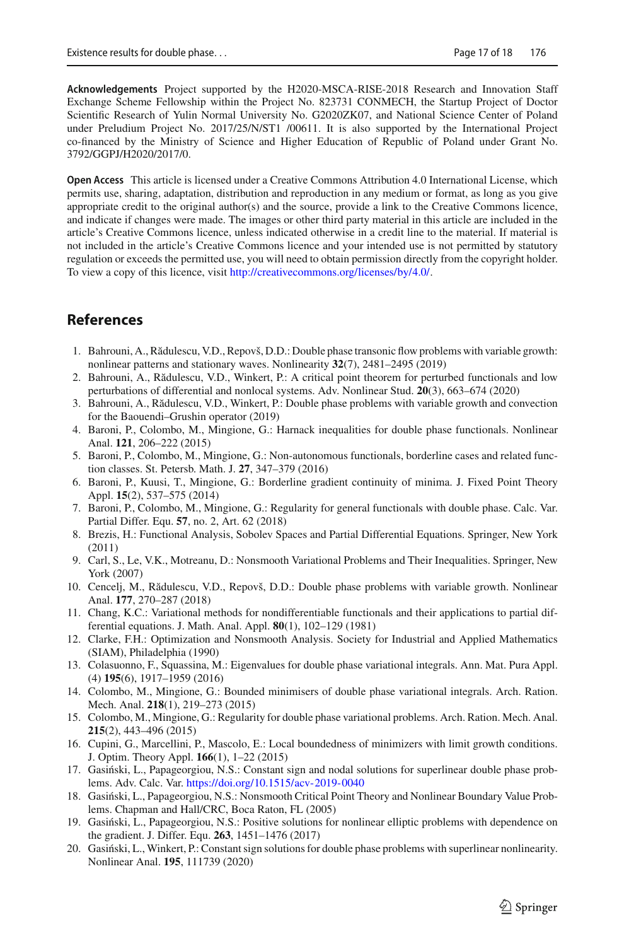**Acknowledgements** Project supported by the H2020-MSCA-RISE-2018 Research and Innovation Staff Exchange Scheme Fellowship within the Project No. 823731 CONMECH, the Startup Project of Doctor Scientific Research of Yulin Normal University No. G2020ZK07, and National Science Center of Poland under Preludium Project No. 2017/25/N/ST1 /00611. It is also supported by the International Project co-financed by the Ministry of Science and Higher Education of Republic of Poland under Grant No. 3792/GGPJ/H2020/2017/0.

**Open Access** This article is licensed under a Creative Commons Attribution 4.0 International License, which permits use, sharing, adaptation, distribution and reproduction in any medium or format, as long as you give appropriate credit to the original author(s) and the source, provide a link to the Creative Commons licence, and indicate if changes were made. The images or other third party material in this article are included in the article's Creative Commons licence, unless indicated otherwise in a credit line to the material. If material is not included in the article's Creative Commons licence and your intended use is not permitted by statutory regulation or exceeds the permitted use, you will need to obtain permission directly from the copyright holder. To view a copy of this licence, visit [http://creativecommons.org/licenses/by/4.0/.](http://creativecommons.org/licenses/by/4.0/)

### **References**

- <span id="page-16-10"></span>1. Bahrouni, A., R˘adulescu, V.D., Repovš, D.D.: Double phase transonic flow problems with variable growth: nonlinear patterns and stationary waves. Nonlinearity **32**(7), 2481–2495 (2019)
- <span id="page-16-11"></span>2. Bahrouni, A., Rădulescu, V.D., Winkert, P.: A critical point theorem for perturbed functionals and low perturbations of differential and nonlocal systems. Adv. Nonlinear Stud. **20**(3), 663–674 (2020)
- <span id="page-16-12"></span>3. Bahrouni, A., R˘adulescu, V.D., Winkert, P.: Double phase problems with variable growth and convection for the Baouendi–Grushin operator (2019)
- <span id="page-16-0"></span>4. Baroni, P., Colombo, M., Mingione, G.: Harnack inequalities for double phase functionals. Nonlinear Anal. **121**, 206–222 (2015)
- <span id="page-16-1"></span>5. Baroni, P., Colombo, M., Mingione, G.: Non-autonomous functionals, borderline cases and related function classes. St. Petersb. Math. J. **27**, 347–379 (2016)
- <span id="page-16-3"></span>6. Baroni, P., Kuusi, T., Mingione, G.: Borderline gradient continuity of minima. J. Fixed Point Theory Appl. **15**(2), 537–575 (2014)
- <span id="page-16-2"></span>7. Baroni, P., Colombo, M., Mingione, G.: Regularity for general functionals with double phase. Calc. Var. Partial Differ. Equ. **57**, no. 2, Art. 62 (2018)
- <span id="page-16-19"></span>8. Brezis, H.: Functional Analysis, Sobolev Spaces and Partial Differential Equations. Springer, New York (2011)
- <span id="page-16-13"></span>9. Carl, S., Le, V.K., Motreanu, D.: Nonsmooth Variational Problems and Their Inequalities. Springer, New York (2007)
- <span id="page-16-14"></span>10. Cencelj, M., Rădulescu, V.D., Repovš, D.D.: Double phase problems with variable growth. Nonlinear Anal. **177**, 270–287 (2018)
- <span id="page-16-18"></span>11. Chang, K.C.: Variational methods for nondifferentiable functionals and their applications to partial differential equations. J. Math. Anal. Appl. **80**(1), 102–129 (1981)
- <span id="page-16-15"></span>12. Clarke, F.H.: Optimization and Nonsmooth Analysis. Society for Industrial and Applied Mathematics (SIAM), Philadelphia (1990)
- <span id="page-16-7"></span>13. Colasuonno, F., Squassina, M.: Eigenvalues for double phase variational integrals. Ann. Mat. Pura Appl. (4) **195**(6), 1917–1959 (2016)
- <span id="page-16-5"></span>14. Colombo, M., Mingione, G.: Bounded minimisers of double phase variational integrals. Arch. Ration. Mech. Anal. **218**(1), 219–273 (2015)
- <span id="page-16-6"></span>15. Colombo, M., Mingione, G.: Regularity for double phase variational problems. Arch. Ration. Mech. Anal. **215**(2), 443–496 (2015)
- <span id="page-16-4"></span>16. Cupini, G., Marcellini, P., Mascolo, E.: Local boundedness of minimizers with limit growth conditions. J. Optim. Theory Appl. **166**(1), 1–22 (2015)
- <span id="page-16-8"></span>17. Gasiński, L., Papageorgiou, N.S.: Constant sign and nodal solutions for superlinear double phase problems. Adv. Calc. Var. <https://doi.org/10.1515/acv-2019-0040>
- <span id="page-16-16"></span>18. Gasiński, L., Papageorgiou, N.S.: Nonsmooth Critical Point Theory and Nonlinear Boundary Value Problems. Chapman and Hall/CRC, Boca Raton, FL (2005)
- <span id="page-16-17"></span>19. Gasiński, L., Papageorgiou, N.S.: Positive solutions for nonlinear elliptic problems with dependence on the gradient. J. Differ. Equ. **263**, 1451–1476 (2017)
- <span id="page-16-9"></span>20. Gasiński, L., Winkert, P.: Constant sign solutions for double phase problems with superlinear nonlinearity. Nonlinear Anal. **195**, 111739 (2020)